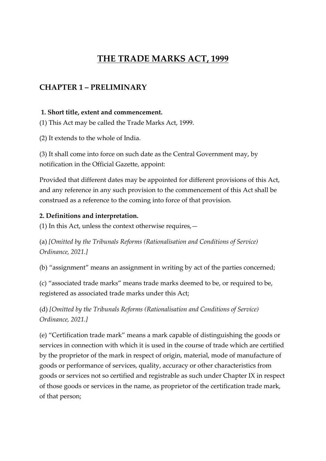# **THE TRADE MARKS ACT, 1999**

# **CHAPTER 1 – PRELIMINARY**

#### **1. Short title, extent and commencement.**

(1) This Act may be called the Trade Marks Act, 1999.

(2) It extends to the whole of India.

(3) It shall come into force on such date as the Central Government may, by notification in the Official Gazette, appoint:

Provided that different dates may be appointed for different provisions of this Act, and any reference in any such provision to the commencement of this Act shall be construed as a reference to the coming into force of that provision.

#### **2. Definitions and interpretation.**

(1) In this Act, unless the context otherwise requires,—

(a) *[Omitted by the Tribunals Reforms (Rationalisation and Conditions of Service) Ordinance, 2021.]*

(b) "assignment" means an assignment in writing by act of the parties concerned;

(c) "associated trade marks" means trade marks deemed to be, or required to be, registered as associated trade marks under this Act;

(d) *[Omitted by the Tribunals Reforms (Rationalisation and Conditions of Service) Ordinance, 2021.]*

(e) "Certification trade mark" means a mark capable of distinguishing the goods or services in connection with which it is used in the course of trade which are certified by the proprietor of the mark in respect of origin, material, mode of manufacture of goods or performance of services, quality, accuracy or other characteristics from goods or services not so certified and registrable as such under Chapter IX in respect of those goods or services in the name, as proprietor of the certification trade mark, of that person;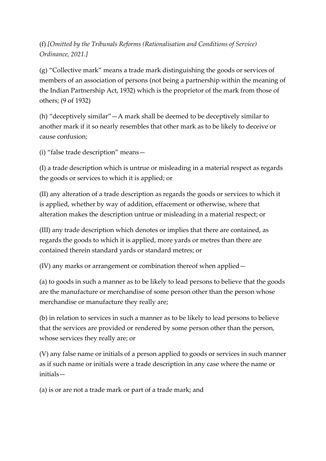# (f) *[Omitted by the Tribunals Reforms (Rationalisation and Conditions of Service) Ordinance, 2021.]*

(g) "Collective mark" means a trade mark distinguishing the goods or services of members of an association of persons (not being a partnership within the meaning of the Indian Partnership Act, 1932) which is the proprietor of the mark from those of others; (9 of 1932)

(h) "deceptively similar"—A mark shall be deemed to be deceptively similar to another mark if it so nearly resembles that other mark as to be likely to deceive or cause confusion;

(i) "false trade description" means—

(I) a trade description which is untrue or misleading in a material respect as regards the goods or services to which it is applied; or

(II) any alteration of a trade description as regards the goods or services to which it is applied, whether by way of addition, effacement or otherwise, where that alteration makes the description untrue or misleading in a material respect; or

(III) any trade description which denotes or implies that there are contained, as regards the goods to which it is applied, more yards or metres than there are contained therein standard yards or standard metres; or

(IV) any marks or arrangement or combination thereof when applied—

(a) to goods in such a manner as to be likely to lead persons to believe that the goods are the manufacture or merchandise of some person other than the person whose merchandise or manufacture they really are;

(b) in relation to services in such a manner as to be likely to lead persons to believe that the services are provided or rendered by some person other than the person, whose services they really are; or

(V) any false name or initials of a person applied to goods or services in such manner as if such name or initials were a trade description in any case where the name or initials—

(a) is or are not a trade mark or part of a trade mark; and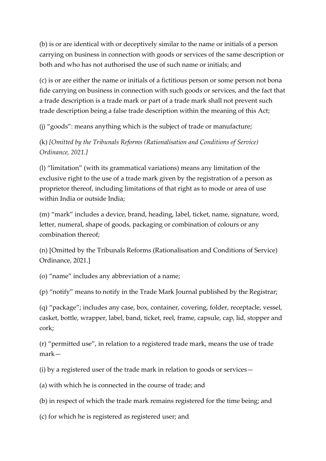(b) is or are identical with or deceptively similar to the name or initials of a person carrying on business in connection with goods or services of the same description or both and who has not authorised the use of such name or initials; and

(c) is or are either the name or initials of a fictitious person or some person not bona fide carrying on business in connection with such goods or services, and the fact that a trade description is a trade mark or part of a trade mark shall not prevent such trade description being a false trade description within the meaning of this Act;

(j) "goods": means anything which is the subject of trade or manufacture;

(k) *[Omitted by the Tribunals Reforms (Rationalisation and Conditions of Service) Ordinance, 2021.]*

(l) "limitation" (with its grammatical variations) means any limitation of the exclusive right to the use of a trade mark given by the registration of a person as proprietor thereof, including limitations of that right as to mode or area of use within India or outside India;

(m) "mark" includes a device, brand, heading, label, ticket, name, signature, word, letter, numeral, shape of goods, packaging or combination of colours or any combination thereof;

(n) [Omitted by the Tribunals Reforms (Rationalisation and Conditions of Service) Ordinance, 2021.]

(o) "name" includes any abbreviation of a name;

(p) "notify" means to notify in the Trade Mark Journal published by the Registrar;

(q) "package"; includes any case, box, container, covering, folder, receptacle, vessel, casket, bottle, wrapper, label, band, ticket, reel, frame, capsule, cap, lid, stopper and cork;

(r) "permitted use", in relation to a registered trade mark, means the use of trade mark—

(i) by a registered user of the trade mark in relation to goods or services—

(a) with which he is connected in the course of trade; and

(b) in respect of which the trade mark remains registered for the time being; and

(c) for which he is registered as registered user; and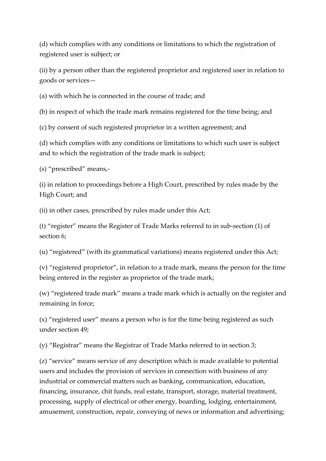(d) which complies with any conditions or limitations to which the registration of registered user is subject; or

(ii) by a person other than the registered proprietor and registered user in relation to goods or services—

(a) with which he is connected in the course of trade; and

(b) in respect of which the trade mark remains registered for the time being; and

(c) by consent of such registered proprietor in a written agreement; and

(d) which complies with any conditions or limitations to which such user is subject and to which the registration of the trade mark is subject;

(s) "prescribed" means,-

(i) in relation to proceedings before a High Court, prescribed by rules made by the High Court; and

(ii) in other cases, prescribed by rules made under this Act;

(t) "register" means the Register of Trade Marks referred to in sub-section (1) of section 6;

(u) "registered" (with its grammatical variations) means registered under this Act;

(v) "registered proprietor", in relation to a trade mark, means the person for the time being entered in the register as proprietor of the trade mark;

(w) "registered trade mark" means a trade mark which is actually on the register and remaining in force;

(x) "registered user" means a person who is for the time being registered as such under section 49;

(y) "Registrar" means the Registrar of Trade Marks referred to in section 3;

(z) "service" means service of any description which is made available to potential users and includes the provision of services in connection with business of any industrial or commercial matters such as banking, communication, education, financing, insurance, chit funds, real estate, transport, storage, material treatment, processing, supply of electrical or other energy, boarding, lodging, entertainment, amusement, construction, repair, conveying of news or information and advertising;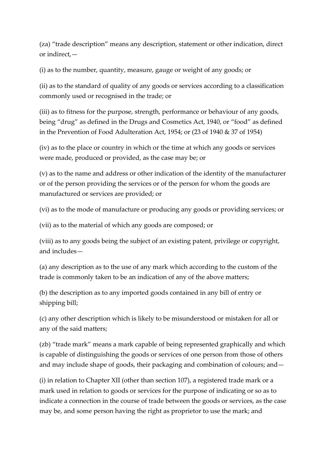(za) "trade description" means any description, statement or other indication, direct or indirect,—

(i) as to the number, quantity, measure, gauge or weight of any goods; or

(ii) as to the standard of quality of any goods or services according to a classification commonly used or recognised in the trade; or

(iii) as to fitness for the purpose, strength, performance or behaviour of any goods, being "drug" as defined in the Drugs and Cosmetics Act, 1940, or "food" as defined in the Prevention of Food Adulteration Act, 1954; or (23 of 1940 & 37 of 1954)

(iv) as to the place or country in which or the time at which any goods or services were made, produced or provided, as the case may be; or

(v) as to the name and address or other indication of the identity of the manufacturer or of the person providing the services or of the person for whom the goods are manufactured or services are provided; or

(vi) as to the mode of manufacture or producing any goods or providing services; or

(vii) as to the material of which any goods are composed; or

(viii) as to any goods being the subject of an existing patent, privilege or copyright, and includes—

(a) any description as to the use of any mark which according to the custom of the trade is commonly taken to be an indication of any of the above matters;

(b) the description as to any imported goods contained in any bill of entry or shipping bill;

(c) any other description which is likely to be misunderstood or mistaken for all or any of the said matters;

(zb) "trade mark" means a mark capable of being represented graphically and which is capable of distinguishing the goods or services of one person from those of others and may include shape of goods, their packaging and combination of colours; and—

(i) in relation to Chapter XII (other than section 107), a registered trade mark or a mark used in relation to goods or services for the purpose of indicating or so as to indicate a connection in the course of trade between the goods or services, as the case may be, and some person having the right as proprietor to use the mark; and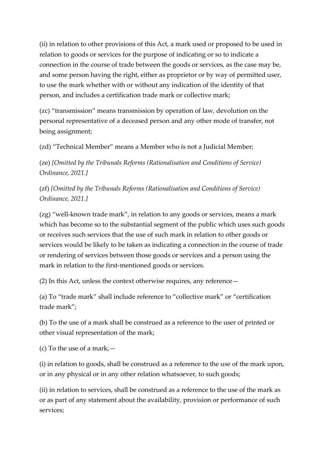(ii) in relation to other provisions of this Act, a mark used or proposed to be used in relation to goods or services for the purpose of indicating or so to indicate a connection in the course of trade between the goods or services, as the case may be, and some person having the right, either as proprietor or by way of permitted user, to use the mark whether with or without any indication of the identity of that person, and includes a certification trade mark or collective mark;

(zc) "transmission" means transmission by operation of law, devolution on the personal representative of a deceased person and any other mode of transfer, not being assignment;

(zd) "Technical Member" means a Member who is not a Judicial Member;

(ze) *[Omitted by the Tribunals Reforms (Rationalisation and Conditions of Service) Ordinance, 2021.]*

(zf) *[Omitted by the Tribunals Reforms (Rationalisation and Conditions of Service) Ordinance, 2021.]*

(zg) "well-known trade mark", in relation to any goods or services, means a mark which has become so to the substantial segment of the public which uses such goods or receives such services that the use of such mark in relation to other goods or services would be likely to be taken as indicating a connection in the course of trade or rendering of services between those goods or services and a person using the mark in relation to the first-mentioned goods or services.

(2) In this Act, unless the context otherwise requires, any reference—

(a) To "trade mark" shall include reference to "collective mark" or "certification trade mark";

(b) To the use of a mark shall be construed as a reference to the user of printed or other visual representation of the mark;

(c) To the use of a mark,—

(i) in relation to goods, shall be construed as a reference to the use of the mark upon, or in any physical or in any other relation whatsoever, to such goods;

(ii) in relation to services, shall be construed as a reference to the use of the mark as or as part of any statement about the availability, provision or performance of such services;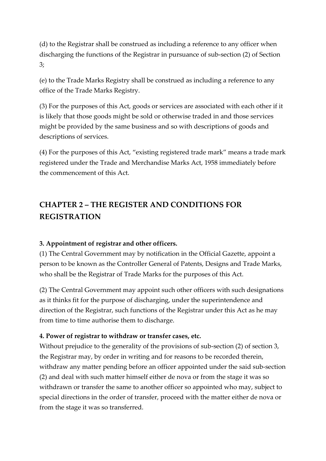(d) to the Registrar shall be construed as including a reference to any officer when discharging the functions of the Registrar in pursuance of sub-section (2) of Section 3;

(e) to the Trade Marks Registry shall be construed as including a reference to any office of the Trade Marks Registry.

(3) For the purposes of this Act, goods or services are associated with each other if it is likely that those goods might be sold or otherwise traded in and those services might be provided by the same business and so with descriptions of goods and descriptions of services.

(4) For the purposes of this Act, "existing registered trade mark" means a trade mark registered under the Trade and Merchandise Marks Act, 1958 immediately before the commencement of this Act.

# **CHAPTER 2 – THE REGISTER AND CONDITIONS FOR REGISTRATION**

### **3. Appointment of registrar and other officers.**

(1) The Central Government may by notification in the Official Gazette, appoint a person to be known as the Controller General of Patents, Designs and Trade Marks, who shall be the Registrar of Trade Marks for the purposes of this Act.

(2) The Central Government may appoint such other officers with such designations as it thinks fit for the purpose of discharging, under the superintendence and direction of the Registrar, such functions of the Registrar under this Act as he may from time to time authorise them to discharge.

### **4. Power of registrar to withdraw or transfer cases, etc.**

Without prejudice to the generality of the provisions of sub-section (2) of section 3, the Registrar may, by order in writing and for reasons to be recorded therein, withdraw any matter pending before an officer appointed under the said sub-section (2) and deal with such matter himself either de nova or from the stage it was so withdrawn or transfer the same to another officer so appointed who may, subject to special directions in the order of transfer, proceed with the matter either de nova or from the stage it was so transferred.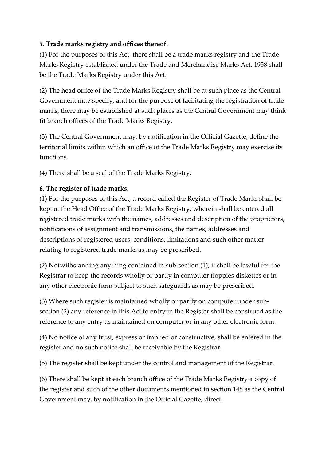### **5. Trade marks registry and offices thereof.**

(1) For the purposes of this Act, there shall be a trade marks registry and the Trade Marks Registry established under the Trade and Merchandise Marks Act, 1958 shall be the Trade Marks Registry under this Act.

(2) The head office of the Trade Marks Registry shall be at such place as the Central Government may specify, and for the purpose of facilitating the registration of trade marks, there may be established at such places as the Central Government may think fit branch offices of the Trade Marks Registry.

(3) The Central Government may, by notification in the Official Gazette, define the territorial limits within which an office of the Trade Marks Registry may exercise its functions.

(4) There shall be a seal of the Trade Marks Registry.

## **6. The register of trade marks.**

(1) For the purposes of this Act, a record called the Register of Trade Marks shall be kept at the Head Office of the Trade Marks Registry, wherein shall be entered all registered trade marks with the names, addresses and description of the proprietors, notifications of assignment and transmissions, the names, addresses and descriptions of registered users, conditions, limitations and such other matter relating to registered trade marks as may be prescribed.

(2) Notwithstanding anything contained in sub-section (1), it shall be lawful for the Registrar to keep the records wholly or partly in computer floppies diskettes or in any other electronic form subject to such safeguards as may be prescribed.

(3) Where such register is maintained wholly or partly on computer under subsection (2) any reference in this Act to entry in the Register shall be construed as the reference to any entry as maintained on computer or in any other electronic form.

(4) No notice of any trust, express or implied or constructive, shall be entered in the register and no such notice shall be receivable by the Registrar.

(5) The register shall be kept under the control and management of the Registrar.

(6) There shall be kept at each branch office of the Trade Marks Registry a copy of the register and such of the other documents mentioned in section 148 as the Central Government may, by notification in the Official Gazette, direct.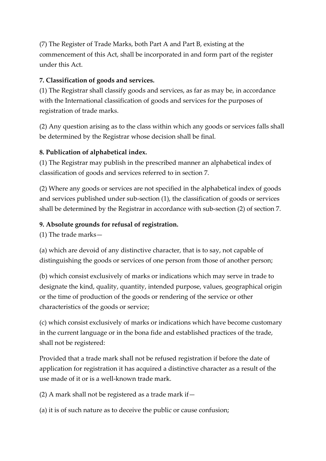(7) The Register of Trade Marks, both Part A and Part B, existing at the commencement of this Act, shall be incorporated in and form part of the register under this Act.

### **7. Classification of goods and services.**

(1) The Registrar shall classify goods and services, as far as may be, in accordance with the International classification of goods and services for the purposes of registration of trade marks.

(2) Any question arising as to the class within which any goods or services falls shall be determined by the Registrar whose decision shall be final.

## **8. Publication of alphabetical index.**

(1) The Registrar may publish in the prescribed manner an alphabetical index of classification of goods and services referred to in section 7.

(2) Where any goods or services are not specified in the alphabetical index of goods and services published under sub-section (1), the classification of goods or services shall be determined by the Registrar in accordance with sub-section (2) of section 7.

### **9. Absolute grounds for refusal of registration.**

(1) The trade marks—

(a) which are devoid of any distinctive character, that is to say, not capable of distinguishing the goods or services of one person from those of another person;

(b) which consist exclusively of marks or indications which may serve in trade to designate the kind, quality, quantity, intended purpose, values, geographical origin or the time of production of the goods or rendering of the service or other characteristics of the goods or service;

(c) which consist exclusively of marks or indications which have become customary in the current language or in the bona fide and established practices of the trade, shall not be registered:

Provided that a trade mark shall not be refused registration if before the date of application for registration it has acquired a distinctive character as a result of the use made of it or is a well-known trade mark.

(2) A mark shall not be registered as a trade mark if—

(a) it is of such nature as to deceive the public or cause confusion;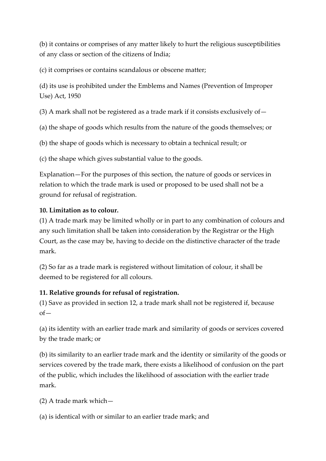(b) it contains or comprises of any matter likely to hurt the religious susceptibilities of any class or section of the citizens of India;

(c) it comprises or contains scandalous or obscene matter;

(d) its use is prohibited under the Emblems and Names (Prevention of Improper Use) Act, 1950

(3) A mark shall not be registered as a trade mark if it consists exclusively of  $-$ 

(a) the shape of goods which results from the nature of the goods themselves; or

(b) the shape of goods which is necessary to obtain a technical result; or

(c) the shape which gives substantial value to the goods.

Explanation—For the purposes of this section, the nature of goods or services in relation to which the trade mark is used or proposed to be used shall not be a ground for refusal of registration.

#### **10. Limitation as to colour.**

(1) A trade mark may be limited wholly or in part to any combination of colours and any such limitation shall be taken into consideration by the Registrar or the High Court, as the case may be, having to decide on the distinctive character of the trade mark.

(2) So far as a trade mark is registered without limitation of colour, it shall be deemed to be registered for all colours.

### **11. Relative grounds for refusal of registration.**

(1) Save as provided in section 12, a trade mark shall not be registered if, because  $of$ 

(a) its identity with an earlier trade mark and similarity of goods or services covered by the trade mark; or

(b) its similarity to an earlier trade mark and the identity or similarity of the goods or services covered by the trade mark, there exists a likelihood of confusion on the part of the public, which includes the likelihood of association with the earlier trade mark.

(2) A trade mark which—

(a) is identical with or similar to an earlier trade mark; and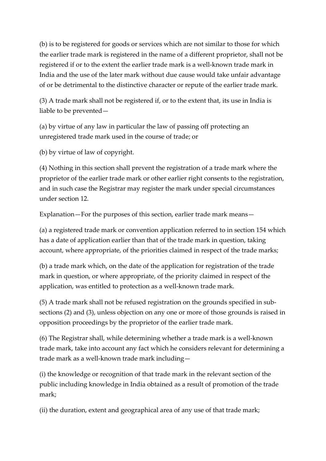(b) is to be registered for goods or services which are not similar to those for which the earlier trade mark is registered in the name of a different proprietor, shall not be registered if or to the extent the earlier trade mark is a well-known trade mark in India and the use of the later mark without due cause would take unfair advantage of or be detrimental to the distinctive character or repute of the earlier trade mark.

(3) A trade mark shall not be registered if, or to the extent that, its use in India is liable to be prevented—

(a) by virtue of any law in particular the law of passing off protecting an unregistered trade mark used in the course of trade; or

(b) by virtue of law of copyright.

(4) Nothing in this section shall prevent the registration of a trade mark where the proprietor of the earlier trade mark or other earlier right consents to the registration, and in such case the Registrar may register the mark under special circumstances under section 12.

Explanation—For the purposes of this section, earlier trade mark means—

(a) a registered trade mark or convention application referred to in section 154 which has a date of application earlier than that of the trade mark in question, taking account, where appropriate, of the priorities claimed in respect of the trade marks;

(b) a trade mark which, on the date of the application for registration of the trade mark in question, or where appropriate, of the priority claimed in respect of the application, was entitled to protection as a well-known trade mark.

(5) A trade mark shall not be refused registration on the grounds specified in subsections (2) and (3), unless objection on any one or more of those grounds is raised in opposition proceedings by the proprietor of the earlier trade mark.

(6) The Registrar shall, while determining whether a trade mark is a well-known trade mark, take into account any fact which he considers relevant for determining a trade mark as a well-known trade mark including—

(i) the knowledge or recognition of that trade mark in the relevant section of the public including knowledge in India obtained as a result of promotion of the trade mark;

(ii) the duration, extent and geographical area of any use of that trade mark;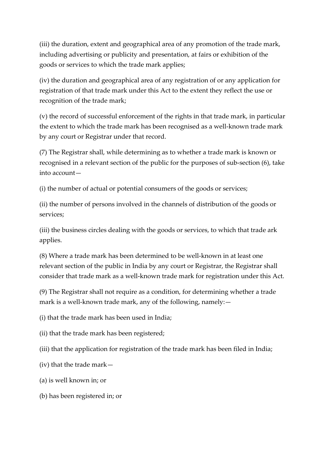(iii) the duration, extent and geographical area of any promotion of the trade mark, including advertising or publicity and presentation, at fairs or exhibition of the goods or services to which the trade mark applies;

(iv) the duration and geographical area of any registration of or any application for registration of that trade mark under this Act to the extent they reflect the use or recognition of the trade mark;

(v) the record of successful enforcement of the rights in that trade mark, in particular the extent to which the trade mark has been recognised as a well-known trade mark by any court or Registrar under that record.

(7) The Registrar shall, while determining as to whether a trade mark is known or recognised in a relevant section of the public for the purposes of sub-section (6), take into account—

(i) the number of actual or potential consumers of the goods or services;

(ii) the number of persons involved in the channels of distribution of the goods or services;

(iii) the business circles dealing with the goods or services, to which that trade ark applies.

(8) Where a trade mark has been determined to be well-known in at least one relevant section of the public in India by any court or Registrar, the Registrar shall consider that trade mark as a well-known trade mark for registration under this Act.

(9) The Registrar shall not require as a condition, for determining whether a trade mark is a well-known trade mark, any of the following, namely:—

(i) that the trade mark has been used in India;

(ii) that the trade mark has been registered;

(iii) that the application for registration of the trade mark has been filed in India;

(iv) that the trade mark—

(a) is well known in; or

(b) has been registered in; or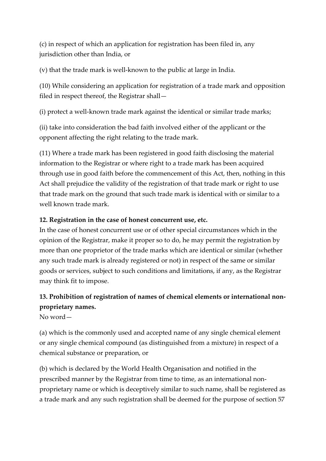(c) in respect of which an application for registration has been filed in, any jurisdiction other than India, or

(v) that the trade mark is well-known to the public at large in India.

(10) While considering an application for registration of a trade mark and opposition filed in respect thereof, the Registrar shall—

(i) protect a well-known trade mark against the identical or similar trade marks;

(ii) take into consideration the bad faith involved either of the applicant or the opponent affecting the right relating to the trade mark.

(11) Where a trade mark has been registered in good faith disclosing the material information to the Registrar or where right to a trade mark has been acquired through use in good faith before the commencement of this Act, then, nothing in this Act shall prejudice the validity of the registration of that trade mark or right to use that trade mark on the ground that such trade mark is identical with or similar to a well known trade mark.

#### **12. Registration in the case of honest concurrent use, etc.**

In the case of honest concurrent use or of other special circumstances which in the opinion of the Registrar, make it proper so to do, he may permit the registration by more than one proprietor of the trade marks which are identical or similar (whether any such trade mark is already registered or not) in respect of the same or similar goods or services, subject to such conditions and limitations, if any, as the Registrar may think fit to impose.

# **13. Prohibition of registration of names of chemical elements or international nonproprietary names.**

No word—

(a) which is the commonly used and accepted name of any single chemical element or any single chemical compound (as distinguished from a mixture) in respect of a chemical substance or preparation, or

(b) which is declared by the World Health Organisation and notified in the prescribed manner by the Registrar from time to time, as an international nonproprietary name or which is deceptively similar to such name, shall be registered as a trade mark and any such registration shall be deemed for the purpose of section 57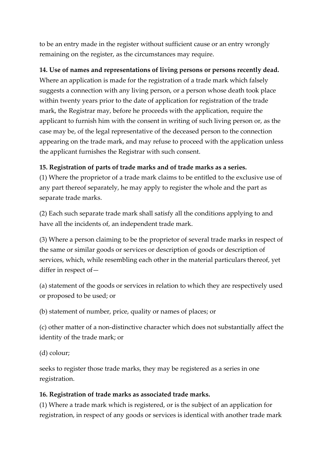to be an entry made in the register without sufficient cause or an entry wrongly remaining on the register, as the circumstances may require.

**14. Use of names and representations of living persons or persons recently dead.** Where an application is made for the registration of a trade mark which falsely suggests a connection with any living person, or a person whose death took place within twenty years prior to the date of application for registration of the trade mark, the Registrar may, before he proceeds with the application, require the applicant to furnish him with the consent in writing of such living person or, as the case may be, of the legal representative of the deceased person to the connection appearing on the trade mark, and may refuse to proceed with the application unless the applicant furnishes the Registrar with such consent.

### **15. Registration of parts of trade marks and of trade marks as a series.**

(1) Where the proprietor of a trade mark claims to be entitled to the exclusive use of any part thereof separately, he may apply to register the whole and the part as separate trade marks.

(2) Each such separate trade mark shall satisfy all the conditions applying to and have all the incidents of, an independent trade mark.

(3) Where a person claiming to be the proprietor of several trade marks in respect of the same or similar goods or services or description of goods or description of services, which, while resembling each other in the material particulars thereof, yet differ in respect of—

(a) statement of the goods or services in relation to which they are respectively used or proposed to be used; or

(b) statement of number, price, quality or names of places; or

(c) other matter of a non-distinctive character which does not substantially affect the identity of the trade mark; or

(d) colour;

seeks to register those trade marks, they may be registered as a series in one registration.

#### **16. Registration of trade marks as associated trade marks.**

(1) Where a trade mark which is registered, or is the subject of an application for registration, in respect of any goods or services is identical with another trade mark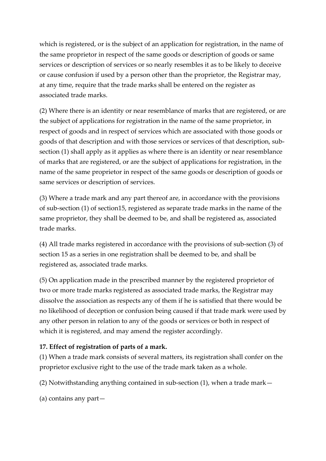which is registered, or is the subject of an application for registration, in the name of the same proprietor in respect of the same goods or description of goods or same services or description of services or so nearly resembles it as to be likely to deceive or cause confusion if used by a person other than the proprietor, the Registrar may, at any time, require that the trade marks shall be entered on the register as associated trade marks.

(2) Where there is an identity or near resemblance of marks that are registered, or are the subject of applications for registration in the name of the same proprietor, in respect of goods and in respect of services which are associated with those goods or goods of that description and with those services or services of that description, subsection (1) shall apply as it applies as where there is an identity or near resemblance of marks that are registered, or are the subject of applications for registration, in the name of the same proprietor in respect of the same goods or description of goods or same services or description of services.

(3) Where a trade mark and any part thereof are, in accordance with the provisions of sub-section (1) of section15, registered as separate trade marks in the name of the same proprietor, they shall be deemed to be, and shall be registered as, associated trade marks.

(4) All trade marks registered in accordance with the provisions of sub-section (3) of section 15 as a series in one registration shall be deemed to be, and shall be registered as, associated trade marks.

(5) On application made in the prescribed manner by the registered proprietor of two or more trade marks registered as associated trade marks, the Registrar may dissolve the association as respects any of them if he is satisfied that there would be no likelihood of deception or confusion being caused if that trade mark were used by any other person in relation to any of the goods or services or both in respect of which it is registered, and may amend the register accordingly.

### **17. Effect of registration of parts of a mark.**

(1) When a trade mark consists of several matters, its registration shall confer on the proprietor exclusive right to the use of the trade mark taken as a whole.

(2) Notwithstanding anything contained in sub-section (1), when a trade mark—

(a) contains any part—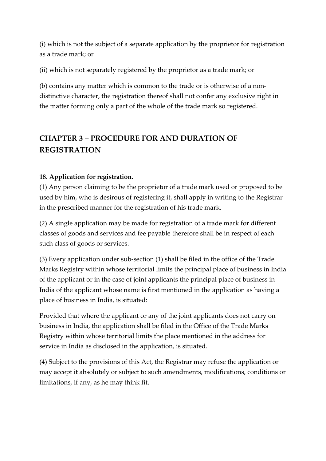(i) which is not the subject of a separate application by the proprietor for registration as a trade mark; or

(ii) which is not separately registered by the proprietor as a trade mark; or

(b) contains any matter which is common to the trade or is otherwise of a nondistinctive character, the registration thereof shall not confer any exclusive right in the matter forming only a part of the whole of the trade mark so registered.

# **CHAPTER 3 – PROCEDURE FOR AND DURATION OF REGISTRATION**

### **18. Application for registration.**

(1) Any person claiming to be the proprietor of a trade mark used or proposed to be used by him, who is desirous of registering it, shall apply in writing to the Registrar in the prescribed manner for the registration of his trade mark.

(2) A single application may be made for registration of a trade mark for different classes of goods and services and fee payable therefore shall be in respect of each such class of goods or services.

(3) Every application under sub-section (1) shall be filed in the office of the Trade Marks Registry within whose territorial limits the principal place of business in India of the applicant or in the case of joint applicants the principal place of business in India of the applicant whose name is first mentioned in the application as having a place of business in India, is situated:

Provided that where the applicant or any of the joint applicants does not carry on business in India, the application shall be filed in the Office of the Trade Marks Registry within whose territorial limits the place mentioned in the address for service in India as disclosed in the application, is situated.

(4) Subject to the provisions of this Act, the Registrar may refuse the application or may accept it absolutely or subject to such amendments, modifications, conditions or limitations, if any, as he may think fit.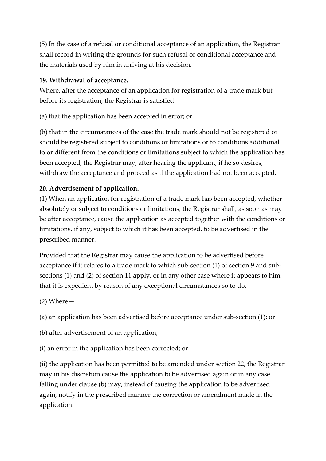(5) In the case of a refusal or conditional acceptance of an application, the Registrar shall record in writing the grounds for such refusal or conditional acceptance and the materials used by him in arriving at his decision.

### **19. Withdrawal of acceptance.**

Where, after the acceptance of an application for registration of a trade mark but before its registration, the Registrar is satisfied—

(a) that the application has been accepted in error; or

(b) that in the circumstances of the case the trade mark should not be registered or should be registered subject to conditions or limitations or to conditions additional to or different from the conditions or limitations subject to which the application has been accepted, the Registrar may, after hearing the applicant, if he so desires, withdraw the acceptance and proceed as if the application had not been accepted.

## **20. Advertisement of application.**

(1) When an application for registration of a trade mark has been accepted, whether absolutely or subject to conditions or limitations, the Registrar shall, as soon as may be after acceptance, cause the application as accepted together with the conditions or limitations, if any, subject to which it has been accepted, to be advertised in the prescribed manner.

Provided that the Registrar may cause the application to be advertised before acceptance if it relates to a trade mark to which sub-section (1) of section 9 and subsections (1) and (2) of section 11 apply, or in any other case where it appears to him that it is expedient by reason of any exceptional circumstances so to do.

(2) Where—

(a) an application has been advertised before acceptance under sub-section (1); or

(b) after advertisement of an application,—

(i) an error in the application has been corrected; or

(ii) the application has been permitted to be amended under section 22, the Registrar may in his discretion cause the application to be advertised again or in any case falling under clause (b) may, instead of causing the application to be advertised again, notify in the prescribed manner the correction or amendment made in the application.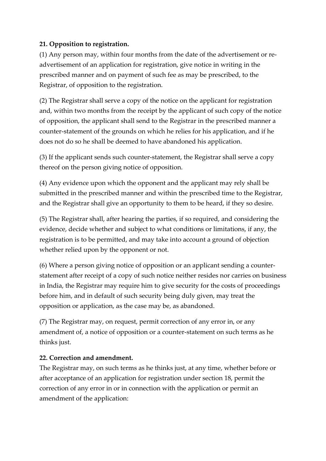### **21. Opposition to registration.**

(1) Any person may, within four months from the date of the advertisement or readvertisement of an application for registration, give notice in writing in the prescribed manner and on payment of such fee as may be prescribed, to the Registrar, of opposition to the registration.

(2) The Registrar shall serve a copy of the notice on the applicant for registration and, within two months from the receipt by the applicant of such copy of the notice of opposition, the applicant shall send to the Registrar in the prescribed manner a counter-statement of the grounds on which he relies for his application, and if he does not do so he shall be deemed to have abandoned his application.

(3) If the applicant sends such counter-statement, the Registrar shall serve a copy thereof on the person giving notice of opposition.

(4) Any evidence upon which the opponent and the applicant may rely shall be submitted in the prescribed manner and within the prescribed time to the Registrar, and the Registrar shall give an opportunity to them to be heard, if they so desire.

(5) The Registrar shall, after hearing the parties, if so required, and considering the evidence, decide whether and subject to what conditions or limitations, if any, the registration is to be permitted, and may take into account a ground of objection whether relied upon by the opponent or not.

(6) Where a person giving notice of opposition or an applicant sending a counterstatement after receipt of a copy of such notice neither resides nor carries on business in India, the Registrar may require him to give security for the costs of proceedings before him, and in default of such security being duly given, may treat the opposition or application, as the case may be, as abandoned.

(7) The Registrar may, on request, permit correction of any error in, or any amendment of, a notice of opposition or a counter-statement on such terms as he thinks just.

### **22. Correction and amendment.**

The Registrar may, on such terms as he thinks just, at any time, whether before or after acceptance of an application for registration under section 18, permit the correction of any error in or in connection with the application or permit an amendment of the application: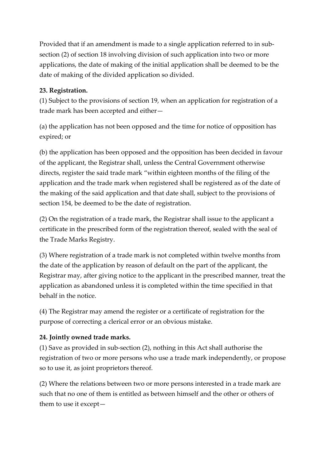Provided that if an amendment is made to a single application referred to in subsection (2) of section 18 involving division of such application into two or more applications, the date of making of the initial application shall be deemed to be the date of making of the divided application so divided.

#### **23. Registration.**

(1) Subject to the provisions of section 19, when an application for registration of a trade mark has been accepted and either—

(a) the application has not been opposed and the time for notice of opposition has expired; or

(b) the application has been opposed and the opposition has been decided in favour of the applicant, the Registrar shall, unless the Central Government otherwise directs, register the said trade mark "within eighteen months of the filing of the application and the trade mark when registered shall be registered as of the date of the making of the said application and that date shall, subject to the provisions of section 154, be deemed to be the date of registration.

(2) On the registration of a trade mark, the Registrar shall issue to the applicant a certificate in the prescribed form of the registration thereof, sealed with the seal of the Trade Marks Registry.

(3) Where registration of a trade mark is not completed within twelve months from the date of the application by reason of default on the part of the applicant, the Registrar may, after giving notice to the applicant in the prescribed manner, treat the application as abandoned unless it is completed within the time specified in that behalf in the notice.

(4) The Registrar may amend the register or a certificate of registration for the purpose of correcting a clerical error or an obvious mistake.

### **24. Jointly owned trade marks.**

(1) Save as provided in sub-section (2), nothing in this Act shall authorise the registration of two or more persons who use a trade mark independently, or propose so to use it, as joint proprietors thereof.

(2) Where the relations between two or more persons interested in a trade mark are such that no one of them is entitled as between himself and the other or others of them to use it except—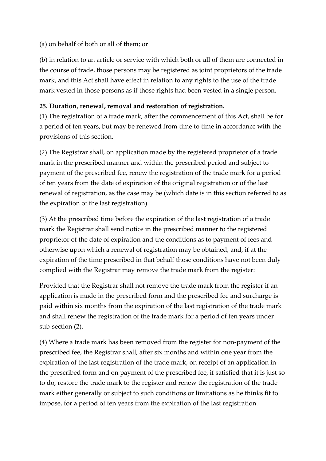#### (a) on behalf of both or all of them; or

(b) in relation to an article or service with which both or all of them are connected in the course of trade, those persons may be registered as joint proprietors of the trade mark, and this Act shall have effect in relation to any rights to the use of the trade mark vested in those persons as if those rights had been vested in a single person.

#### **25. Duration, renewal, removal and restoration of registration.**

(1) The registration of a trade mark, after the commencement of this Act, shall be for a period of ten years, but may be renewed from time to time in accordance with the provisions of this section.

(2) The Registrar shall, on application made by the registered proprietor of a trade mark in the prescribed manner and within the prescribed period and subject to payment of the prescribed fee, renew the registration of the trade mark for a period of ten years from the date of expiration of the original registration or of the last renewal of registration, as the case may be (which date is in this section referred to as the expiration of the last registration).

(3) At the prescribed time before the expiration of the last registration of a trade mark the Registrar shall send notice in the prescribed manner to the registered proprietor of the date of expiration and the conditions as to payment of fees and otherwise upon which a renewal of registration may be obtained, and, if at the expiration of the time prescribed in that behalf those conditions have not been duly complied with the Registrar may remove the trade mark from the register:

Provided that the Registrar shall not remove the trade mark from the register if an application is made in the prescribed form and the prescribed fee and surcharge is paid within six months from the expiration of the last registration of the trade mark and shall renew the registration of the trade mark for a period of ten years under sub-section (2).

(4) Where a trade mark has been removed from the register for non-payment of the prescribed fee, the Registrar shall, after six months and within one year from the expiration of the last registration of the trade mark, on receipt of an application in the prescribed form and on payment of the prescribed fee, if satisfied that it is just so to do, restore the trade mark to the register and renew the registration of the trade mark either generally or subject to such conditions or limitations as he thinks fit to impose, for a period of ten years from the expiration of the last registration.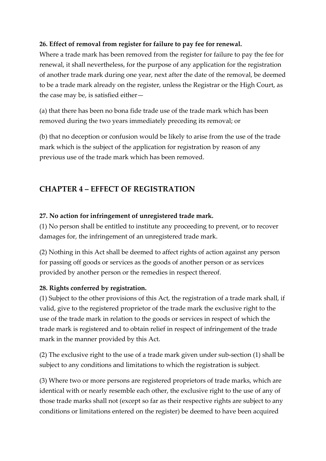#### **26. Effect of removal from register for failure to pay fee for renewal.**

Where a trade mark has been removed from the register for failure to pay the fee for renewal, it shall nevertheless, for the purpose of any application for the registration of another trade mark during one year, next after the date of the removal, be deemed to be a trade mark already on the register, unless the Registrar or the High Court, as the case may be, is satisfied either—

(a) that there has been no bona fide trade use of the trade mark which has been removed during the two years immediately preceding its removal; or

(b) that no deception or confusion would be likely to arise from the use of the trade mark which is the subject of the application for registration by reason of any previous use of the trade mark which has been removed.

# **CHAPTER 4 – EFFECT OF REGISTRATION**

#### **27. No action for infringement of unregistered trade mark.**

(1) No person shall be entitled to institute any proceeding to prevent, or to recover damages for, the infringement of an unregistered trade mark.

(2) Nothing in this Act shall be deemed to affect rights of action against any person for passing off goods or services as the goods of another person or as services provided by another person or the remedies in respect thereof.

### **28. Rights conferred by registration.**

(1) Subject to the other provisions of this Act, the registration of a trade mark shall, if valid, give to the registered proprietor of the trade mark the exclusive right to the use of the trade mark in relation to the goods or services in respect of which the trade mark is registered and to obtain relief in respect of infringement of the trade mark in the manner provided by this Act.

(2) The exclusive right to the use of a trade mark given under sub-section (1) shall be subject to any conditions and limitations to which the registration is subject.

(3) Where two or more persons are registered proprietors of trade marks, which are identical with or nearly resemble each other, the exclusive right to the use of any of those trade marks shall not (except so far as their respective rights are subject to any conditions or limitations entered on the register) be deemed to have been acquired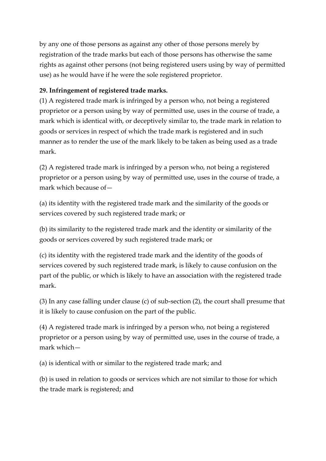by any one of those persons as against any other of those persons merely by registration of the trade marks but each of those persons has otherwise the same rights as against other persons (not being registered users using by way of permitted use) as he would have if he were the sole registered proprietor.

#### **29. Infringement of registered trade marks.**

(1) A registered trade mark is infringed by a person who, not being a registered proprietor or a person using by way of permitted use, uses in the course of trade, a mark which is identical with, or deceptively similar to, the trade mark in relation to goods or services in respect of which the trade mark is registered and in such manner as to render the use of the mark likely to be taken as being used as a trade mark.

(2) A registered trade mark is infringed by a person who, not being a registered proprietor or a person using by way of permitted use, uses in the course of trade, a mark which because of—

(a) its identity with the registered trade mark and the similarity of the goods or services covered by such registered trade mark; or

(b) its similarity to the registered trade mark and the identity or similarity of the goods or services covered by such registered trade mark; or

(c) its identity with the registered trade mark and the identity of the goods of services covered by such registered trade mark, is likely to cause confusion on the part of the public, or which is likely to have an association with the registered trade mark.

(3) In any case falling under clause (c) of sub-section (2), the court shall presume that it is likely to cause confusion on the part of the public.

(4) A registered trade mark is infringed by a person who, not being a registered proprietor or a person using by way of permitted use, uses in the course of trade, a mark which—

(a) is identical with or similar to the registered trade mark; and

(b) is used in relation to goods or services which are not similar to those for which the trade mark is registered; and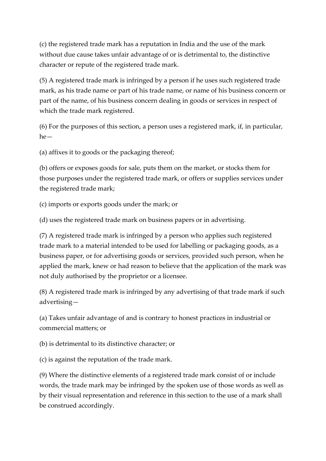(c) the registered trade mark has a reputation in India and the use of the mark without due cause takes unfair advantage of or is detrimental to, the distinctive character or repute of the registered trade mark.

(5) A registered trade mark is infringed by a person if he uses such registered trade mark, as his trade name or part of his trade name, or name of his business concern or part of the name, of his business concern dealing in goods or services in respect of which the trade mark registered.

(6) For the purposes of this section, a person uses a registered mark, if, in particular, he—

(a) affixes it to goods or the packaging thereof;

(b) offers or exposes goods for sale, puts them on the market, or stocks them for those purposes under the registered trade mark, or offers or supplies services under the registered trade mark;

(c) imports or exports goods under the mark; or

(d) uses the registered trade mark on business papers or in advertising.

(7) A registered trade mark is infringed by a person who applies such registered trade mark to a material intended to be used for labelling or packaging goods, as a business paper, or for advertising goods or services, provided such person, when he applied the mark, knew or had reason to believe that the application of the mark was not duly authorised by the proprietor or a licensee.

(8) A registered trade mark is infringed by any advertising of that trade mark if such advertising—

(a) Takes unfair advantage of and is contrary to honest practices in industrial or commercial matters; or

(b) is detrimental to its distinctive character; or

(c) is against the reputation of the trade mark.

(9) Where the distinctive elements of a registered trade mark consist of or include words, the trade mark may be infringed by the spoken use of those words as well as by their visual representation and reference in this section to the use of a mark shall be construed accordingly.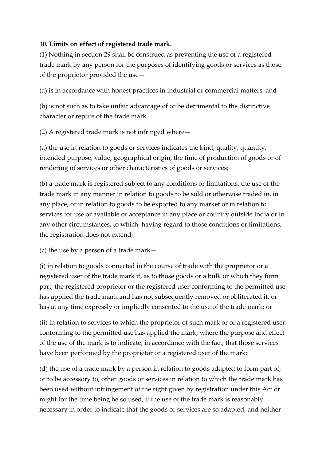### **30. Limits on effect of registered trade mark.**

(1) Nothing in section 29 shall be construed as preventing the use of a registered trade mark by any person for the purposes of identifying goods or services as those of the proprietor provided the use—

(a) is in accordance with honest practices in industrial or commercial matters, and

(b) is not such as to take unfair advantage of or be detrimental to the distinctive character or repute of the trade mark.

(2) A registered trade mark is not infringed where—

(a) the use in relation to goods or services indicates the kind, quality, quantity, intended purpose, value, geographical origin, the time of production of goods or of rendering of services or other characteristics of goods or services;

(b) a trade mark is registered subject to any conditions or limitations, the use of the trade mark in any manner in relation to goods to be sold or otherwise traded in, in any place, or in relation to goods to be exported to any market or in relation to services for use or available or acceptance in any place or country outside India or in any other circumstances, to which, having regard to those conditions or limitations, the registration does not extend;

(c) the use by a person of a trade mark—

(i) in relation to goods connected in the course of trade with the proprietor or a registered user of the trade mark if, as to those goods or a bulk or which they form part, the registered proprietor or the registered user conforming to the permitted use has applied the trade mark and has not subsequently removed or obliterated it, or has at any time expressly or impliedly consented to the use of the trade mark; or

(ii) in relation to services to which the proprietor of such mark or of a registered user conforming to the permitted use has applied the mark, where the purpose and effect of the use of the mark is to indicate, in accordance with the fact, that those services have been performed by the proprietor or a registered user of the mark;

(d) the use of a trade mark by a person in relation to goods adapted to form part of, or to be accessory to, other goods or services in relation to which the trade mark has been used without infringement of the right given by registration under this Act or might for the time being be so used, if the use of the trade mark is reasonably necessary in order to indicate that the goods or services are so adapted, and neither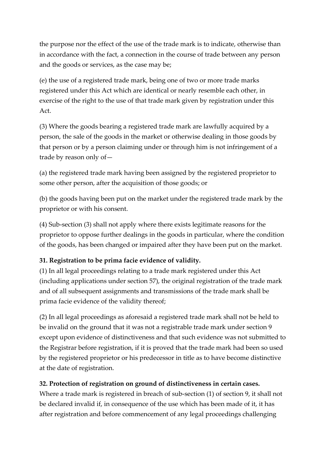the purpose nor the effect of the use of the trade mark is to indicate, otherwise than in accordance with the fact, a connection in the course of trade between any person and the goods or services, as the case may be;

(e) the use of a registered trade mark, being one of two or more trade marks registered under this Act which are identical or nearly resemble each other, in exercise of the right to the use of that trade mark given by registration under this Act.

(3) Where the goods bearing a registered trade mark are lawfully acquired by a person, the sale of the goods in the market or otherwise dealing in those goods by that person or by a person claiming under or through him is not infringement of a trade by reason only of—

(a) the registered trade mark having been assigned by the registered proprietor to some other person, after the acquisition of those goods; or

(b) the goods having been put on the market under the registered trade mark by the proprietor or with his consent.

(4) Sub-section (3) shall not apply where there exists legitimate reasons for the proprietor to oppose further dealings in the goods in particular, where the condition of the goods, has been changed or impaired after they have been put on the market.

# **31. Registration to be prima facie evidence of validity.**

(1) In all legal proceedings relating to a trade mark registered under this Act (including applications under section 57), the original registration of the trade mark and of all subsequent assignments and transmissions of the trade mark shall be prima facie evidence of the validity thereof;

(2) In all legal proceedings as aforesaid a registered trade mark shall not be held to be invalid on the ground that it was not a registrable trade mark under section 9 except upon evidence of distinctiveness and that such evidence was not submitted to the Registrar before registration, if it is proved that the trade mark had been so used by the registered proprietor or his predecessor in title as to have become distinctive at the date of registration.

### **32. Protection of registration on ground of distinctiveness in certain cases.**

Where a trade mark is registered in breach of sub-section (1) of section 9, it shall not be declared invalid if, in consequence of the use which has been made of it, it has after registration and before commencement of any legal proceedings challenging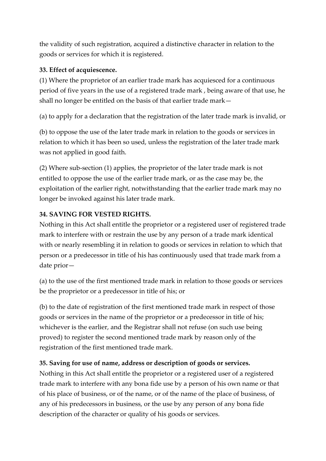the validity of such registration, acquired a distinctive character in relation to the goods or services for which it is registered.

#### **33. Effect of acquiescence.**

(1) Where the proprietor of an earlier trade mark has acquiesced for a continuous period of five years in the use of a registered trade mark , being aware of that use, he shall no longer be entitled on the basis of that earlier trade mark—

(a) to apply for a declaration that the registration of the later trade mark is invalid, or

(b) to oppose the use of the later trade mark in relation to the goods or services in relation to which it has been so used, unless the registration of the later trade mark was not applied in good faith.

(2) Where sub-section (1) applies, the proprietor of the later trade mark is not entitled to oppose the use of the earlier trade mark, or as the case may be, the exploitation of the earlier right, notwithstanding that the earlier trade mark may no longer be invoked against his later trade mark.

### **34. SAVING FOR VESTED RIGHTS.**

Nothing in this Act shall entitle the proprietor or a registered user of registered trade mark to interfere with or restrain the use by any person of a trade mark identical with or nearly resembling it in relation to goods or services in relation to which that person or a predecessor in title of his has continuously used that trade mark from a date prior—

(a) to the use of the first mentioned trade mark in relation to those goods or services be the proprietor or a predecessor in title of his; or

(b) to the date of registration of the first mentioned trade mark in respect of those goods or services in the name of the proprietor or a predecessor in title of his; whichever is the earlier, and the Registrar shall not refuse (on such use being proved) to register the second mentioned trade mark by reason only of the registration of the first mentioned trade mark.

### **35. Saving for use of name, address or description of goods or services.**

Nothing in this Act shall entitle the proprietor or a registered user of a registered trade mark to interfere with any bona fide use by a person of his own name or that of his place of business, or of the name, or of the name of the place of business, of any of his predecessors in business, or the use by any person of any bona fide description of the character or quality of his goods or services.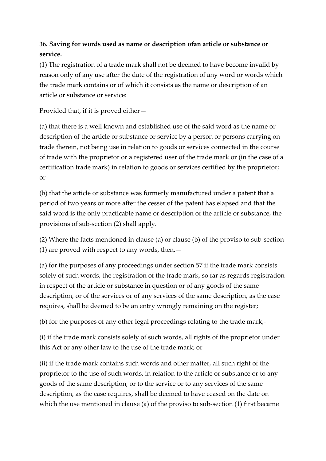# **36. Saving for words used as name or description ofan article or substance or service.**

(1) The registration of a trade mark shall not be deemed to have become invalid by reason only of any use after the date of the registration of any word or words which the trade mark contains or of which it consists as the name or description of an article or substance or service:

Provided that, if it is proved either—

(a) that there is a well known and established use of the said word as the name or description of the article or substance or service by a person or persons carrying on trade therein, not being use in relation to goods or services connected in the course of trade with the proprietor or a registered user of the trade mark or (in the case of a certification trade mark) in relation to goods or services certified by the proprietor; or

(b) that the article or substance was formerly manufactured under a patent that a period of two years or more after the cesser of the patent has elapsed and that the said word is the only practicable name or description of the article or substance, the provisions of sub-section (2) shall apply.

(2) Where the facts mentioned in clause (a) or clause (b) of the proviso to sub-section (1) are proved with respect to any words, then,  $-$ 

(a) for the purposes of any proceedings under section 57 if the trade mark consists solely of such words, the registration of the trade mark, so far as regards registration in respect of the article or substance in question or of any goods of the same description, or of the services or of any services of the same description, as the case requires, shall be deemed to be an entry wrongly remaining on the register;

(b) for the purposes of any other legal proceedings relating to the trade mark,-

(i) if the trade mark consists solely of such words, all rights of the proprietor under this Act or any other law to the use of the trade mark; or

(ii) if the trade mark contains such words and other matter, all such right of the proprietor to the use of such words, in relation to the article or substance or to any goods of the same description, or to the service or to any services of the same description, as the case requires, shall be deemed to have ceased on the date on which the use mentioned in clause (a) of the proviso to sub-section (1) first became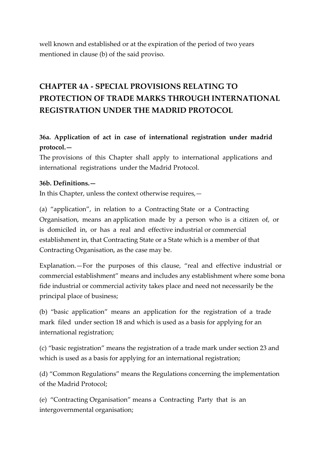well known and established or at the expiration of the period of two years mentioned in clause (b) of the said proviso.

# **CHAPTER 4A - SPECIAL PROVISIONS RELATING TO PROTECTION OF TRADE MARKS THROUGH INTERNATIONAL REGISTRATION UNDER THE MADRID PROTOCOL**

# **36a. Application of act in case of international registration under madrid protocol.—**

The provisions of this Chapter shall apply to international applications and international registrations under the Madrid Protocol.

#### **36b. Definitions.—**

In this Chapter, unless the context otherwise requires,—

(a) "application", in relation to a Contracting State or a Contracting Organisation, means an application made by a person who is a citizen of, or is domiciled in, or has a real and effective industrial or commercial establishment in, that Contracting State or a State which is a member of that Contracting Organisation, as the case may be.

Explanation.—For the purposes of this clause, "real and effective industrial or commercial establishment" means and includes any establishment where some bona fide industrial or commercial activity takes place and need not necessarily be the principal place of business;

(b) "basic application" means an application for the registration of a trade mark filed under section 18 and which is used as a basis for applying for an international registration;

(c) "basic registration" means the registration of a trade mark under section 23 and which is used as a basis for applying for an international registration;

(d) "Common Regulations" means the Regulations concerning the implementation of the Madrid Protocol;

(e) "Contracting Organisation" means a Contracting Party that is an intergovernmental organisation;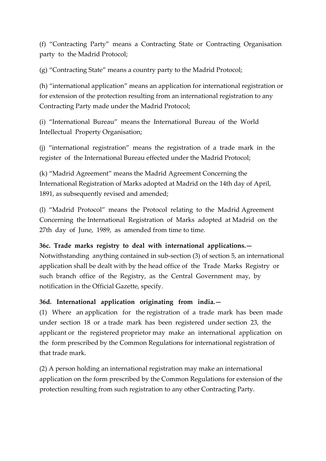(f) "Contracting Party" means a Contracting State or Contracting Organisation party to the Madrid Protocol;

(g) "Contracting State" means a country party to the Madrid Protocol;

(h) "international application" means an application for international registration or for extension of the protection resulting from an international registration to any Contracting Party made under the Madrid Protocol;

(i) "International Bureau" means the International Bureau of the World Intellectual Property Organisation;

(j) "international registration" means the registration of a trade mark in the register of the International Bureau effected under the Madrid Protocol;

(k) "Madrid Agreement" means the Madrid Agreement Concerning the International Registration of Marks adopted at Madrid on the 14th day of April, 1891, as subsequently revised and amended;

(l) "Madrid Protocol" means the Protocol relating to the Madrid Agreement Concerning the International Registration of Marks adopted at Madrid on the 27th day of June, 1989, as amended from time to time.

**36c. Trade marks registry to deal with international applications.—** Notwithstanding anything contained in sub-section (3) of section 5, an international application shall be dealt with by the head office of the Trade Marks Registry or such branch office of the Registry, as the Central Government may, by notification in the Official Gazette, specify.

### **36d. International application originating from india.—**

(1) Where an application for the registration of a trade mark has been made under section 18 or a trade mark has been registered under section 23, the applicant or the registered proprietor may make an international application on the form prescribed by the Common Regulations for international registration of that trade mark.

(2) A person holding an international registration may make an international application on the form prescribed by the Common Regulations for extension of the protection resulting from such registration to any other Contracting Party.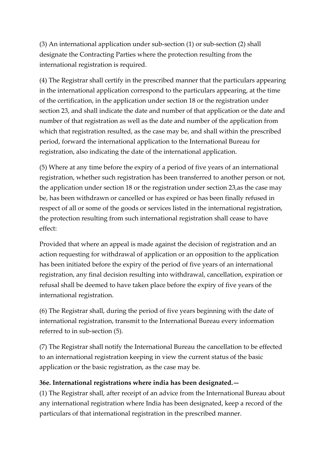(3) An international application under sub-section (1) or sub-section (2) shall designate the Contracting Parties where the protection resulting from the international registration is required.

(4) The Registrar shall certify in the prescribed manner that the particulars appearing in the international application correspond to the particulars appearing, at the time of the certification, in the application under section 18 or the registration under section 23, and shall indicate the date and number of that application or the date and number of that registration as well as the date and number of the application from which that registration resulted, as the case may be, and shall within the prescribed period, forward the international application to the International Bureau for registration, also indicating the date of the international application.

(5) Where at any time before the expiry of a period of five years of an international registration, whether such registration has been transferred to another person or not, the application under section 18 or the registration under section 23,as the case may be, has been withdrawn or cancelled or has expired or has been finally refused in respect of all or some of the goods or services listed in the international registration, the protection resulting from such international registration shall cease to have effect:

Provided that where an appeal is made against the decision of registration and an action requesting for withdrawal of application or an opposition to the application has been initiated before the expiry of the period of five years of an international registration, any final decision resulting into withdrawal, cancellation, expiration or refusal shall be deemed to have taken place before the expiry of five years of the international registration.

(6) The Registrar shall, during the period of five years beginning with the date of international registration, transmit to the International Bureau every information referred to in sub-section (5).

(7) The Registrar shall notify the International Bureau the cancellation to be effected to an international registration keeping in view the current status of the basic application or the basic registration, as the case may be.

#### **36e. International registrations where india has been designated.—**

(1) The Registrar shall, after receipt of an advice from the International Bureau about any international registration where India has been designated, keep a record of the particulars of that international registration in the prescribed manner.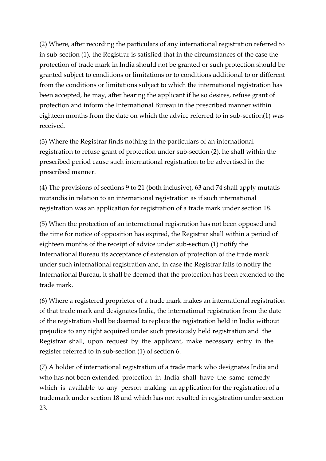(2) Where, after recording the particulars of any international registration referred to in sub-section (1), the Registrar is satisfied that in the circumstances of the case the protection of trade mark in India should not be granted or such protection should be granted subject to conditions or limitations or to conditions additional to or different from the conditions or limitations subject to which the international registration has been accepted, he may, after hearing the applicant if he so desires, refuse grant of protection and inform the International Bureau in the prescribed manner within eighteen months from the date on which the advice referred to in sub-section(1) was received.

(3) Where the Registrar finds nothing in the particulars of an international registration to refuse grant of protection under sub-section (2), he shall within the prescribed period cause such international registration to be advertised in the prescribed manner.

(4) The provisions of sections 9 to 21 (both inclusive), 63 and 74 shall apply mutatis mutandis in relation to an international registration as if such international registration was an application for registration of a trade mark under section 18.

(5) When the protection of an international registration has not been opposed and the time for notice of opposition has expired, the Registrar shall within a period of eighteen months of the receipt of advice under sub-section (1) notify the International Bureau its acceptance of extension of protection of the trade mark under such international registration and, in case the Registrar fails to notify the International Bureau, it shall be deemed that the protection has been extended to the trade mark.

(6) Where a registered proprietor of a trade mark makes an international registration of that trade mark and designates India, the international registration from the date of the registration shall be deemed to replace the registration held in India without prejudice to any right acquired under such previously held registration and the Registrar shall, upon request by the applicant, make necessary entry in the register referred to in sub-section (1) of section 6.

(7) A holder of international registration of a trade mark who designates India and who has not been extended protection in India shall have the same remedy which is available to any person making an application for the registration of a trademark under section 18 and which has not resulted in registration under section 23.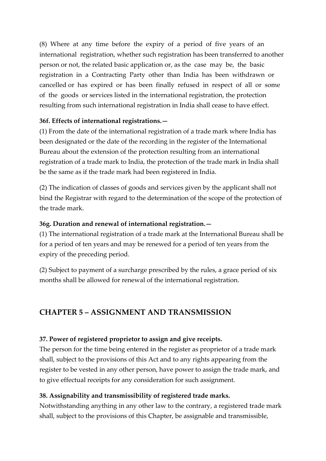(8) Where at any time before the expiry of a period of five years of an international registration, whether such registration has been transferred to another person or not, the related basic application or, as the case may be, the basic registration in a Contracting Party other than India has been withdrawn or cancelled or has expired or has been finally refused in respect of all or some of the goods or services listed in the international registration, the protection resulting from such international registration in India shall cease to have effect.

### **36f. Effects of international registrations.—**

(1) From the date of the international registration of a trade mark where India has been designated or the date of the recording in the register of the International Bureau about the extension of the protection resulting from an international registration of a trade mark to India, the protection of the trade mark in India shall be the same as if the trade mark had been registered in India.

(2) The indication of classes of goods and services given by the applicant shall not bind the Registrar with regard to the determination of the scope of the protection of the trade mark.

#### **36g. Duration and renewal of international registration.—**

(1) The international registration of a trade mark at the International Bureau shall be for a period of ten years and may be renewed for a period of ten years from the expiry of the preceding period.

(2) Subject to payment of a surcharge prescribed by the rules, a grace period of six months shall be allowed for renewal of the international registration.

# **CHAPTER 5 – ASSIGNMENT AND TRANSMISSION**

#### **37. Power of registered proprietor to assign and give receipts.**

The person for the time being entered in the register as proprietor of a trade mark shall, subject to the provisions of this Act and to any rights appearing from the register to be vested in any other person, have power to assign the trade mark, and to give effectual receipts for any consideration for such assignment.

### **38. Assignability and transmissibility of registered trade marks.**

Notwithstanding anything in any other law to the contrary, a registered trade mark shall, subject to the provisions of this Chapter, be assignable and transmissible,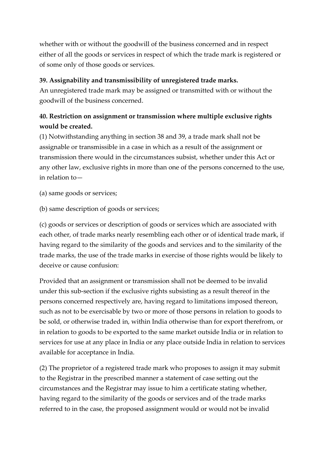whether with or without the goodwill of the business concerned and in respect either of all the goods or services in respect of which the trade mark is registered or of some only of those goods or services.

#### **39. Assignability and transmissibility of unregistered trade marks.**

An unregistered trade mark may be assigned or transmitted with or without the goodwill of the business concerned.

# **40. Restriction on assignment or transmission where multiple exclusive rights would be created.**

(1) Notwithstanding anything in section 38 and 39, a trade mark shall not be assignable or transmissible in a case in which as a result of the assignment or transmission there would in the circumstances subsist, whether under this Act or any other law, exclusive rights in more than one of the persons concerned to the use, in relation to—

- (a) same goods or services;
- (b) same description of goods or services;

(c) goods or services or description of goods or services which are associated with each other, of trade marks nearly resembling each other or of identical trade mark, if having regard to the similarity of the goods and services and to the similarity of the trade marks, the use of the trade marks in exercise of those rights would be likely to deceive or cause confusion:

Provided that an assignment or transmission shall not be deemed to be invalid under this sub-section if the exclusive rights subsisting as a result thereof in the persons concerned respectively are, having regard to limitations imposed thereon, such as not to be exercisable by two or more of those persons in relation to goods to be sold, or otherwise traded in, within India otherwise than for export therefrom, or in relation to goods to be exported to the same market outside India or in relation to services for use at any place in India or any place outside India in relation to services available for acceptance in India.

(2) The proprietor of a registered trade mark who proposes to assign it may submit to the Registrar in the prescribed manner a statement of case setting out the circumstances and the Registrar may issue to him a certificate stating whether, having regard to the similarity of the goods or services and of the trade marks referred to in the case, the proposed assignment would or would not be invalid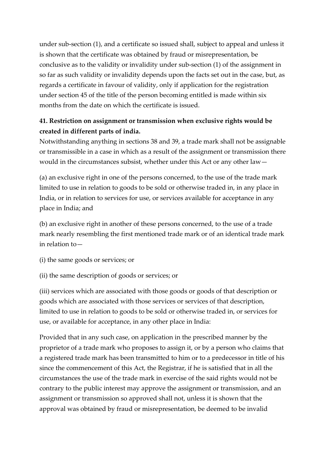under sub-section (1), and a certificate so issued shall, subject to appeal and unless it is shown that the certificate was obtained by fraud or misrepresentation, be conclusive as to the validity or invalidity under sub-section (1) of the assignment in so far as such validity or invalidity depends upon the facts set out in the case, but, as regards a certificate in favour of validity, only if application for the registration under section 45 of the title of the person becoming entitled is made within six months from the date on which the certificate is issued.

# **41. Restriction on assignment or transmission when exclusive rights would be created in different parts of india.**

Notwithstanding anything in sections 38 and 39, a trade mark shall not be assignable or transmissible in a case in which as a result of the assignment or transmission there would in the circumstances subsist, whether under this Act or any other law—

(a) an exclusive right in one of the persons concerned, to the use of the trade mark limited to use in relation to goods to be sold or otherwise traded in, in any place in India, or in relation to services for use, or services available for acceptance in any place in India; and

(b) an exclusive right in another of these persons concerned, to the use of a trade mark nearly resembling the first mentioned trade mark or of an identical trade mark in relation to—

(i) the same goods or services; or

(ii) the same description of goods or services; or

(iii) services which are associated with those goods or goods of that description or goods which are associated with those services or services of that description, limited to use in relation to goods to be sold or otherwise traded in, or services for use, or available for acceptance, in any other place in India:

Provided that in any such case, on application in the prescribed manner by the proprietor of a trade mark who proposes to assign it, or by a person who claims that a registered trade mark has been transmitted to him or to a predecessor in title of his since the commencement of this Act, the Registrar, if he is satisfied that in all the circumstances the use of the trade mark in exercise of the said rights would not be contrary to the public interest may approve the assignment or transmission, and an assignment or transmission so approved shall not, unless it is shown that the approval was obtained by fraud or misrepresentation, be deemed to be invalid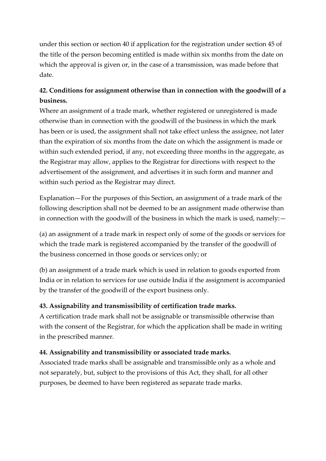under this section or section 40 if application for the registration under section 45 of the title of the person becoming entitled is made within six months from the date on which the approval is given or, in the case of a transmission, was made before that date.

# **42. Conditions for assignment otherwise than in connection with the goodwill of a business.**

Where an assignment of a trade mark, whether registered or unregistered is made otherwise than in connection with the goodwill of the business in which the mark has been or is used, the assignment shall not take effect unless the assignee, not later than the expiration of six months from the date on which the assignment is made or within such extended period, if any, not exceeding three months in the aggregate, as the Registrar may allow, applies to the Registrar for directions with respect to the advertisement of the assignment, and advertises it in such form and manner and within such period as the Registrar may direct.

Explanation—For the purposes of this Section, an assignment of a trade mark of the following description shall not be deemed to be an assignment made otherwise than in connection with the goodwill of the business in which the mark is used, namely:—

(a) an assignment of a trade mark in respect only of some of the goods or services for which the trade mark is registered accompanied by the transfer of the goodwill of the business concerned in those goods or services only; or

(b) an assignment of a trade mark which is used in relation to goods exported from India or in relation to services for use outside India if the assignment is accompanied by the transfer of the goodwill of the export business only.

### **43. Assignability and transmissibility of certification trade marks.**

A certification trade mark shall not be assignable or transmissible otherwise than with the consent of the Registrar, for which the application shall be made in writing in the prescribed manner.

#### **44. Assignability and transmissibility or associated trade marks.**

Associated trade marks shall be assignable and transmissible only as a whole and not separately, but, subject to the provisions of this Act, they shall, for all other purposes, be deemed to have been registered as separate trade marks.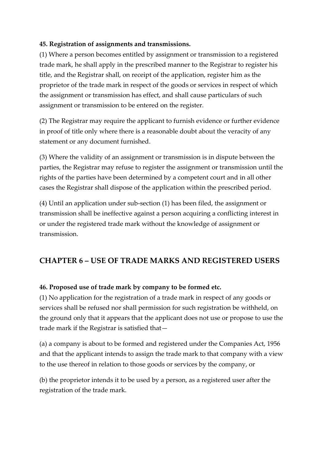#### **45. Registration of assignments and transmissions.**

(1) Where a person becomes entitled by assignment or transmission to a registered trade mark, he shall apply in the prescribed manner to the Registrar to register his title, and the Registrar shall, on receipt of the application, register him as the proprietor of the trade mark in respect of the goods or services in respect of which the assignment or transmission has effect, and shall cause particulars of such assignment or transmission to be entered on the register.

(2) The Registrar may require the applicant to furnish evidence or further evidence in proof of title only where there is a reasonable doubt about the veracity of any statement or any document furnished.

(3) Where the validity of an assignment or transmission is in dispute between the parties, the Registrar may refuse to register the assignment or transmission until the rights of the parties have been determined by a competent court and in all other cases the Registrar shall dispose of the application within the prescribed period.

(4) Until an application under sub-section (1) has been filed, the assignment or transmission shall be ineffective against a person acquiring a conflicting interest in or under the registered trade mark without the knowledge of assignment or transmission.

# **CHAPTER 6 – USE OF TRADE MARKS AND REGISTERED USERS**

#### **46. Proposed use of trade mark by company to be formed etc.**

(1) No application for the registration of a trade mark in respect of any goods or services shall be refused nor shall permission for such registration be withheld, on the ground only that it appears that the applicant does not use or propose to use the trade mark if the Registrar is satisfied that—

(a) a company is about to be formed and registered under the Companies Act, 1956 and that the applicant intends to assign the trade mark to that company with a view to the use thereof in relation to those goods or services by the company, or

(b) the proprietor intends it to be used by a person, as a registered user after the registration of the trade mark.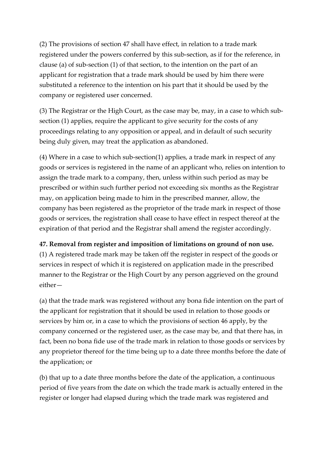(2) The provisions of section 47 shall have effect, in relation to a trade mark registered under the powers conferred by this sub-section, as if for the reference, in clause (a) of sub-section (1) of that section, to the intention on the part of an applicant for registration that a trade mark should be used by him there were substituted a reference to the intention on his part that it should be used by the company or registered user concerned.

(3) The Registrar or the High Court, as the case may be, may, in a case to which subsection (1) applies, require the applicant to give security for the costs of any proceedings relating to any opposition or appeal, and in default of such security being duly given, may treat the application as abandoned.

(4) Where in a case to which sub-section(1) applies, a trade mark in respect of any goods or services is registered in the name of an applicant who, relies on intention to assign the trade mark to a company, then, unless within such period as may be prescribed or within such further period not exceeding six months as the Registrar may, on application being made to him in the prescribed manner, allow, the company has been registered as the proprietor of the trade mark in respect of those goods or services, the registration shall cease to have effect in respect thereof at the expiration of that period and the Registrar shall amend the register accordingly.

## **47. Removal from register and imposition of limitations on ground of non use.**

(1) A registered trade mark may be taken off the register in respect of the goods or services in respect of which it is registered on application made in the prescribed manner to the Registrar or the High Court by any person aggrieved on the ground either—

(a) that the trade mark was registered without any bona fide intention on the part of the applicant for registration that it should be used in relation to those goods or services by him or, in a case to which the provisions of section 46 apply, by the company concerned or the registered user, as the case may be, and that there has, in fact, been no bona fide use of the trade mark in relation to those goods or services by any proprietor thereof for the time being up to a date three months before the date of the application; or

(b) that up to a date three months before the date of the application, a continuous period of five years from the date on which the trade mark is actually entered in the register or longer had elapsed during which the trade mark was registered and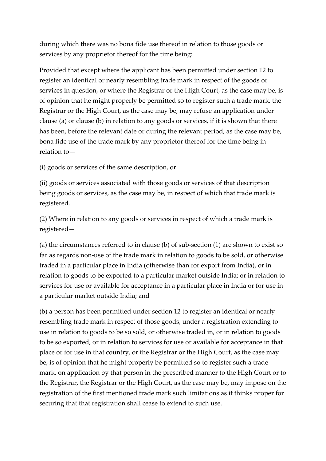during which there was no bona fide use thereof in relation to those goods or services by any proprietor thereof for the time being:

Provided that except where the applicant has been permitted under section 12 to register an identical or nearly resembling trade mark in respect of the goods or services in question, or where the Registrar or the High Court, as the case may be, is of opinion that he might properly be permitted so to register such a trade mark, the Registrar or the High Court, as the case may be, may refuse an application under clause (a) or clause (b) in relation to any goods or services, if it is shown that there has been, before the relevant date or during the relevant period, as the case may be, bona fide use of the trade mark by any proprietor thereof for the time being in relation to—

(i) goods or services of the same description, or

(ii) goods or services associated with those goods or services of that description being goods or services, as the case may be, in respect of which that trade mark is registered.

(2) Where in relation to any goods or services in respect of which a trade mark is registered—

(a) the circumstances referred to in clause (b) of sub-section (1) are shown to exist so far as regards non-use of the trade mark in relation to goods to be sold, or otherwise traded in a particular place in India (otherwise than for export from India), or in relation to goods to be exported to a particular market outside India; or in relation to services for use or available for acceptance in a particular place in India or for use in a particular market outside India; and

(b) a person has been permitted under section 12 to register an identical or nearly resembling trade mark in respect of those goods, under a registration extending to use in relation to goods to be so sold, or otherwise traded in, or in relation to goods to be so exported, or in relation to services for use or available for acceptance in that place or for use in that country, or the Registrar or the High Court, as the case may be, is of opinion that he might properly be permitted so to register such a trade mark, on application by that person in the prescribed manner to the High Court or to the Registrar, the Registrar or the High Court, as the case may be, may impose on the registration of the first mentioned trade mark such limitations as it thinks proper for securing that that registration shall cease to extend to such use.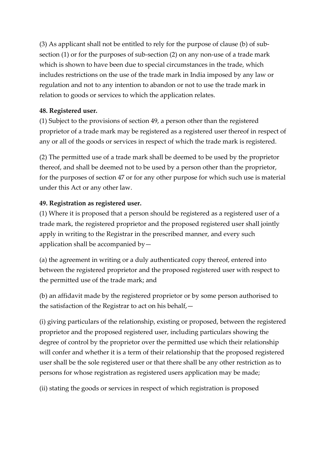(3) As applicant shall not be entitled to rely for the purpose of clause (b) of subsection (1) or for the purposes of sub-section (2) on any non-use of a trade mark which is shown to have been due to special circumstances in the trade, which includes restrictions on the use of the trade mark in India imposed by any law or regulation and not to any intention to abandon or not to use the trade mark in relation to goods or services to which the application relates.

## **48. Registered user.**

(1) Subject to the provisions of section 49, a person other than the registered proprietor of a trade mark may be registered as a registered user thereof in respect of any or all of the goods or services in respect of which the trade mark is registered.

(2) The permitted use of a trade mark shall be deemed to be used by the proprietor thereof, and shall be deemed not to be used by a person other than the proprietor, for the purposes of section 47 or for any other purpose for which such use is material under this Act or any other law.

## **49. Registration as registered user.**

(1) Where it is proposed that a person should be registered as a registered user of a trade mark, the registered proprietor and the proposed registered user shall jointly apply in writing to the Registrar in the prescribed manner, and every such application shall be accompanied by—

(a) the agreement in writing or a duly authenticated copy thereof, entered into between the registered proprietor and the proposed registered user with respect to the permitted use of the trade mark; and

(b) an affidavit made by the registered proprietor or by some person authorised to the satisfaction of the Registrar to act on his behalf,—

(i) giving particulars of the relationship, existing or proposed, between the registered proprietor and the proposed registered user, including particulars showing the degree of control by the proprietor over the permitted use which their relationship will confer and whether it is a term of their relationship that the proposed registered user shall be the sole registered user or that there shall be any other restriction as to persons for whose registration as registered users application may be made;

(ii) stating the goods or services in respect of which registration is proposed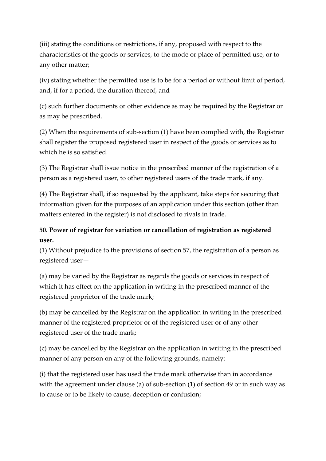(iii) stating the conditions or restrictions, if any, proposed with respect to the characteristics of the goods or services, to the mode or place of permitted use, or to any other matter;

(iv) stating whether the permitted use is to be for a period or without limit of period, and, if for a period, the duration thereof, and

(c) such further documents or other evidence as may be required by the Registrar or as may be prescribed.

(2) When the requirements of sub-section (1) have been complied with, the Registrar shall register the proposed registered user in respect of the goods or services as to which he is so satisfied.

(3) The Registrar shall issue notice in the prescribed manner of the registration of a person as a registered user, to other registered users of the trade mark, if any.

(4) The Registrar shall, if so requested by the applicant, take steps for securing that information given for the purposes of an application under this section (other than matters entered in the register) is not disclosed to rivals in trade.

# **50. Power of registrar for variation or cancellation of registration as registered user.**

(1) Without prejudice to the provisions of section 57, the registration of a person as registered user—

(a) may be varied by the Registrar as regards the goods or services in respect of which it has effect on the application in writing in the prescribed manner of the registered proprietor of the trade mark;

(b) may be cancelled by the Registrar on the application in writing in the prescribed manner of the registered proprietor or of the registered user or of any other registered user of the trade mark;

(c) may be cancelled by the Registrar on the application in writing in the prescribed manner of any person on any of the following grounds, namely: -

(i) that the registered user has used the trade mark otherwise than in accordance with the agreement under clause (a) of sub-section (1) of section 49 or in such way as to cause or to be likely to cause, deception or confusion;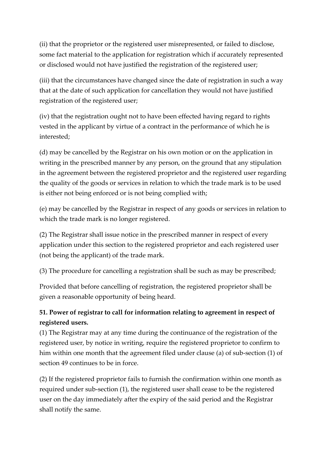(ii) that the proprietor or the registered user misrepresented, or failed to disclose, some fact material to the application for registration which if accurately represented or disclosed would not have justified the registration of the registered user;

(iii) that the circumstances have changed since the date of registration in such a way that at the date of such application for cancellation they would not have justified registration of the registered user;

(iv) that the registration ought not to have been effected having regard to rights vested in the applicant by virtue of a contract in the performance of which he is interested;

(d) may be cancelled by the Registrar on his own motion or on the application in writing in the prescribed manner by any person, on the ground that any stipulation in the agreement between the registered proprietor and the registered user regarding the quality of the goods or services in relation to which the trade mark is to be used is either not being enforced or is not being complied with;

(e) may be cancelled by the Registrar in respect of any goods or services in relation to which the trade mark is no longer registered.

(2) The Registrar shall issue notice in the prescribed manner in respect of every application under this section to the registered proprietor and each registered user (not being the applicant) of the trade mark.

(3) The procedure for cancelling a registration shall be such as may be prescribed;

Provided that before cancelling of registration, the registered proprietor shall be given a reasonable opportunity of being heard.

# **51. Power of registrar to call for information relating to agreement in respect of registered users.**

(1) The Registrar may at any time during the continuance of the registration of the registered user, by notice in writing, require the registered proprietor to confirm to him within one month that the agreement filed under clause (a) of sub-section (1) of section 49 continues to be in force.

(2) If the registered proprietor fails to furnish the confirmation within one month as required under sub-section (1), the registered user shall cease to be the registered user on the day immediately after the expiry of the said period and the Registrar shall notify the same.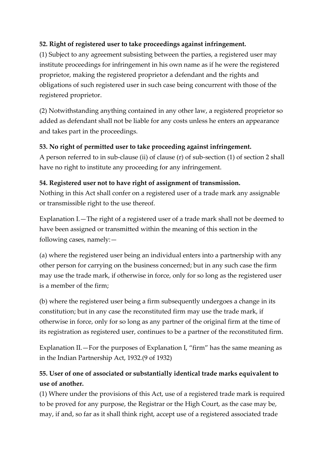# **52. Right of registered user to take proceedings against infringement.**

(1) Subject to any agreement subsisting between the parties, a registered user may institute proceedings for infringement in his own name as if he were the registered proprietor, making the registered proprietor a defendant and the rights and obligations of such registered user in such case being concurrent with those of the registered proprietor.

(2) Notwithstanding anything contained in any other law, a registered proprietor so added as defendant shall not be liable for any costs unless he enters an appearance and takes part in the proceedings.

## **53. No right of permitted user to take proceeding against infringement.**

A person referred to in sub-clause (ii) of clause (r) of sub-section (1) of section 2 shall have no right to institute any proceeding for any infringement.

## **54. Registered user not to have right of assignment of transmission.**

Nothing in this Act shall confer on a registered user of a trade mark any assignable or transmissible right to the use thereof.

Explanation I.—The right of a registered user of a trade mark shall not be deemed to have been assigned or transmitted within the meaning of this section in the following cases, namely:—

(a) where the registered user being an individual enters into a partnership with any other person for carrying on the business concerned; but in any such case the firm may use the trade mark, if otherwise in force, only for so long as the registered user is a member of the firm;

(b) where the registered user being a firm subsequently undergoes a change in its constitution; but in any case the reconstituted firm may use the trade mark, if otherwise in force, only for so long as any partner of the original firm at the time of its registration as registered user, continues to be a partner of the reconstituted firm.

Explanation II.—For the purposes of Explanation I, "firm" has the same meaning as in the Indian Partnership Act, 1932.(9 of 1932)

# **55. User of one of associated or substantially identical trade marks equivalent to use of another.**

(1) Where under the provisions of this Act, use of a registered trade mark is required to be proved for any purpose, the Registrar or the High Court, as the case may be, may, if and, so far as it shall think right, accept use of a registered associated trade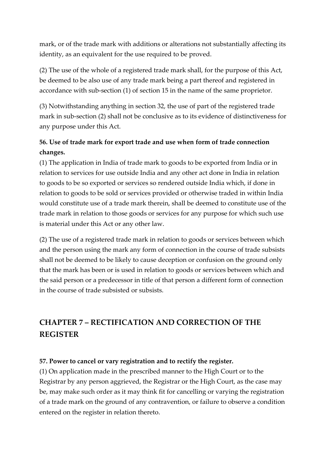mark, or of the trade mark with additions or alterations not substantially affecting its identity, as an equivalent for the use required to be proved.

(2) The use of the whole of a registered trade mark shall, for the purpose of this Act, be deemed to be also use of any trade mark being a part thereof and registered in accordance with sub-section (1) of section 15 in the name of the same proprietor.

(3) Notwithstanding anything in section 32, the use of part of the registered trade mark in sub-section (2) shall not be conclusive as to its evidence of distinctiveness for any purpose under this Act.

# **56. Use of trade mark for export trade and use when form of trade connection changes.**

(1) The application in India of trade mark to goods to be exported from India or in relation to services for use outside India and any other act done in India in relation to goods to be so exported or services so rendered outside India which, if done in relation to goods to be sold or services provided or otherwise traded in within India would constitute use of a trade mark therein, shall be deemed to constitute use of the trade mark in relation to those goods or services for any purpose for which such use is material under this Act or any other law.

(2) The use of a registered trade mark in relation to goods or services between which and the person using the mark any form of connection in the course of trade subsists shall not be deemed to be likely to cause deception or confusion on the ground only that the mark has been or is used in relation to goods or services between which and the said person or a predecessor in title of that person a different form of connection in the course of trade subsisted or subsists.

# **CHAPTER 7 – RECTIFICATION AND CORRECTION OF THE REGISTER**

### **57. Power to cancel or vary registration and to rectify the register.**

(1) On application made in the prescribed manner to the High Court or to the Registrar by any person aggrieved, the Registrar or the High Court, as the case may be, may make such order as it may think fit for cancelling or varying the registration of a trade mark on the ground of any contravention, or failure to observe a condition entered on the register in relation thereto.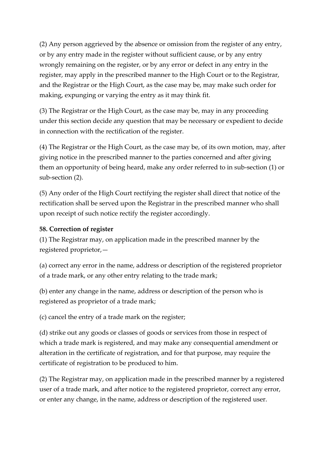(2) Any person aggrieved by the absence or omission from the register of any entry, or by any entry made in the register without sufficient cause, or by any entry wrongly remaining on the register, or by any error or defect in any entry in the register, may apply in the prescribed manner to the High Court or to the Registrar, and the Registrar or the High Court, as the case may be, may make such order for making, expunging or varying the entry as it may think fit.

(3) The Registrar or the High Court, as the case may be, may in any proceeding under this section decide any question that may be necessary or expedient to decide in connection with the rectification of the register.

(4) The Registrar or the High Court, as the case may be, of its own motion, may, after giving notice in the prescribed manner to the parties concerned and after giving them an opportunity of being heard, make any order referred to in sub-section (1) or sub-section (2).

(5) Any order of the High Court rectifying the register shall direct that notice of the rectification shall be served upon the Registrar in the prescribed manner who shall upon receipt of such notice rectify the register accordingly.

## **58. Correction of register**

(1) The Registrar may, on application made in the prescribed manner by the registered proprietor,—

(a) correct any error in the name, address or description of the registered proprietor of a trade mark, or any other entry relating to the trade mark;

(b) enter any change in the name, address or description of the person who is registered as proprietor of a trade mark;

(c) cancel the entry of a trade mark on the register;

(d) strike out any goods or classes of goods or services from those in respect of which a trade mark is registered, and may make any consequential amendment or alteration in the certificate of registration, and for that purpose, may require the certificate of registration to be produced to him.

(2) The Registrar may, on application made in the prescribed manner by a registered user of a trade mark, and after notice to the registered proprietor, correct any error, or enter any change, in the name, address or description of the registered user.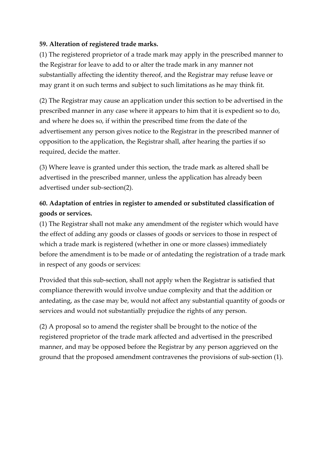## **59. Alteration of registered trade marks.**

(1) The registered proprietor of a trade mark may apply in the prescribed manner to the Registrar for leave to add to or alter the trade mark in any manner not substantially affecting the identity thereof, and the Registrar may refuse leave or may grant it on such terms and subject to such limitations as he may think fit.

(2) The Registrar may cause an application under this section to be advertised in the prescribed manner in any case where it appears to him that it is expedient so to do, and where he does so, if within the prescribed time from the date of the advertisement any person gives notice to the Registrar in the prescribed manner of opposition to the application, the Registrar shall, after hearing the parties if so required, decide the matter.

(3) Where leave is granted under this section, the trade mark as altered shall be advertised in the prescribed manner, unless the application has already been advertised under sub-section(2).

# **60. Adaptation of entries in register to amended or substituted classification of goods or services.**

(1) The Registrar shall not make any amendment of the register which would have the effect of adding any goods or classes of goods or services to those in respect of which a trade mark is registered (whether in one or more classes) immediately before the amendment is to be made or of antedating the registration of a trade mark in respect of any goods or services:

Provided that this sub-section, shall not apply when the Registrar is satisfied that compliance therewith would involve undue complexity and that the addition or antedating, as the case may be, would not affect any substantial quantity of goods or services and would not substantially prejudice the rights of any person.

(2) A proposal so to amend the register shall be brought to the notice of the registered proprietor of the trade mark affected and advertised in the prescribed manner, and may be opposed before the Registrar by any person aggrieved on the ground that the proposed amendment contravenes the provisions of sub-section (1).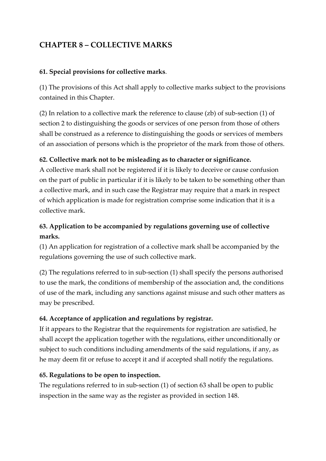# **CHAPTER 8 – COLLECTIVE MARKS**

### **61. Special provisions for collective marks**.

(1) The provisions of this Act shall apply to collective marks subject to the provisions contained in this Chapter.

(2) In relation to a collective mark the reference to clause (zb) of sub-section (1) of section 2 to distinguishing the goods or services of one person from those of others shall be construed as a reference to distinguishing the goods or services of members of an association of persons which is the proprietor of the mark from those of others.

## **62. Collective mark not to be misleading as to character or significance.**

A collective mark shall not be registered if it is likely to deceive or cause confusion on the part of public in particular if it is likely to be taken to be something other than a collective mark, and in such case the Registrar may require that a mark in respect of which application is made for registration comprise some indication that it is a collective mark.

# **63. Application to be accompanied by regulations governing use of collective marks.**

(1) An application for registration of a collective mark shall be accompanied by the regulations governing the use of such collective mark.

(2) The regulations referred to in sub-section (1) shall specify the persons authorised to use the mark, the conditions of membership of the association and, the conditions of use of the mark, including any sanctions against misuse and such other matters as may be prescribed.

## **64. Acceptance of application and regulations by registrar.**

If it appears to the Registrar that the requirements for registration are satisfied, he shall accept the application together with the regulations, either unconditionally or subject to such conditions including amendments of the said regulations, if any, as he may deem fit or refuse to accept it and if accepted shall notify the regulations.

## **65. Regulations to be open to inspection.**

The regulations referred to in sub-section (1) of section 63 shall be open to public inspection in the same way as the register as provided in section 148.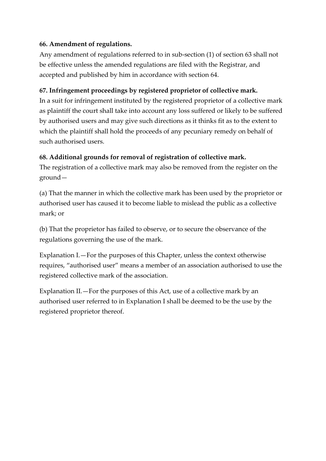## **66. Amendment of regulations.**

Any amendment of regulations referred to in sub-section (1) of section 63 shall not be effective unless the amended regulations are filed with the Registrar, and accepted and published by him in accordance with section 64.

## **67. Infringement proceedings by registered proprietor of collective mark.**

In a suit for infringement instituted by the registered proprietor of a collective mark as plaintiff the court shall take into account any loss suffered or likely to be suffered by authorised users and may give such directions as it thinks fit as to the extent to which the plaintiff shall hold the proceeds of any pecuniary remedy on behalf of such authorised users.

## **68. Additional grounds for removal of registration of collective mark.**

The registration of a collective mark may also be removed from the register on the ground—

(a) That the manner in which the collective mark has been used by the proprietor or authorised user has caused it to become liable to mislead the public as a collective mark; or

(b) That the proprietor has failed to observe, or to secure the observance of the regulations governing the use of the mark.

Explanation I.—For the purposes of this Chapter, unless the context otherwise requires, "authorised user" means a member of an association authorised to use the registered collective mark of the association.

Explanation II.—For the purposes of this Act, use of a collective mark by an authorised user referred to in Explanation I shall be deemed to be the use by the registered proprietor thereof.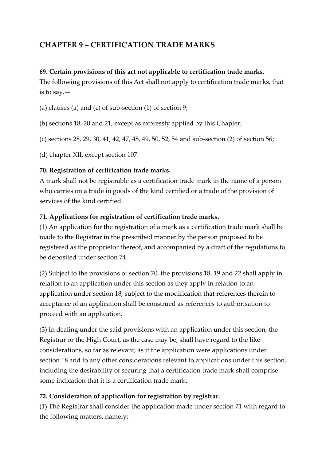# **CHAPTER 9 – CERTIFICATION TRADE MARKS**

### **69. Certain provisions of this act not applicable to certification trade marks.**

The following provisions of this Act shall not apply to certification trade marks, that is to say,—

(a) clauses (a) and (c) of sub-section (1) of section 9;

(b) sections 18, 20 and 21, except as expressly applied by this Chapter;

(c) sections 28, 29, 30, 41, 42, 47, 48, 49, 50, 52, 54 and sub-section (2) of section 56;

(d) chapter XII, except section 107.

## **70. Registration of certification trade marks.**

A mark shall not be registrable as a certification trade mark in the name of a person who carries on a trade in goods of the kind certified or a trade of the provision of services of the kind certified.

## **71. Applications for registration of certification trade marks.**

(1) An application for the registration of a mark as a certification trade mark shall be made to the Registrar in the prescribed manner by the person proposed to be registered as the proprietor thereof, and accompanied by a draft of the regulations to be deposited under section 74.

(2) Subject to the provisions of section 70, the provisions 18, 19 and 22 shall apply in relation to an application under this section as they apply in relation to an application under section 18, subject to the modification that references therein to acceptance of an application shall be construed as references to authorisation to proceed with an application.

(3) In dealing under the said provisions with an application under this section, the Registrar or the High Court, as the case may be, shall have regard to the like considerations, so far as relevant, as if the application were applications under section 18 and to any other considerations relevant to applications under this section, including the desirability of securing that a certification trade mark shall comprise some indication that it is a certification trade mark.

## **72. Consideration of application for registration by registrar.**

(1) The Registrar shall consider the application made under section 71 with regard to the following matters, namely:—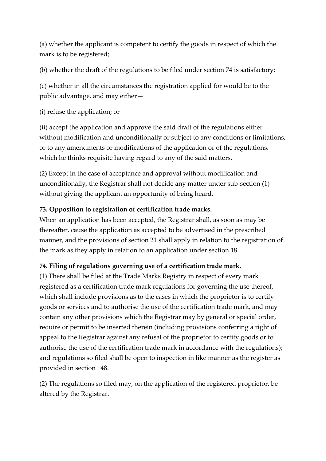(a) whether the applicant is competent to certify the goods in respect of which the mark is to be registered;

(b) whether the draft of the regulations to be filed under section 74 is satisfactory;

(c) whether in all the circumstances the registration applied for would be to the public advantage, and may either—

(i) refuse the application; or

(ii) accept the application and approve the said draft of the regulations either without modification and unconditionally or subject to any conditions or limitations, or to any amendments or modifications of the application or of the regulations, which he thinks requisite having regard to any of the said matters.

(2) Except in the case of acceptance and approval without modification and unconditionally, the Registrar shall not decide any matter under sub-section (1) without giving the applicant an opportunity of being heard.

## **73. Opposition to registration of certification trade marks.**

When an application has been accepted, the Registrar shall, as soon as may be thereafter, cause the application as accepted to be advertised in the prescribed manner, and the provisions of section 21 shall apply in relation to the registration of the mark as they apply in relation to an application under section 18.

## **74. Filing of regulations governing use of a certification trade mark.**

(1) There shall be filed at the Trade Marks Registry in respect of every mark registered as a certification trade mark regulations for governing the use thereof, which shall include provisions as to the cases in which the proprietor is to certify goods or services and to authorise the use of the certification trade mark, and may contain any other provisions which the Registrar may by general or special order, require or permit to be inserted therein (including provisions conferring a right of appeal to the Registrar against any refusal of the proprietor to certify goods or to authorise the use of the certification trade mark in accordance with the regulations); and regulations so filed shall be open to inspection in like manner as the register as provided in section 148.

(2) The regulations so filed may, on the application of the registered proprietor, be altered by the Registrar.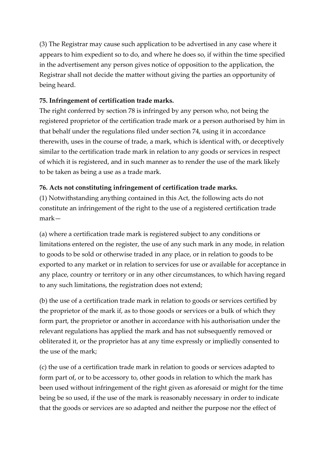(3) The Registrar may cause such application to be advertised in any case where it appears to him expedient so to do, and where he does so, if within the time specified in the advertisement any person gives notice of opposition to the application, the Registrar shall not decide the matter without giving the parties an opportunity of being heard.

### **75. Infringement of certification trade marks.**

The right conferred by section 78 is infringed by any person who, not being the registered proprietor of the certification trade mark or a person authorised by him in that behalf under the regulations filed under section 74, using it in accordance therewith, uses in the course of trade, a mark, which is identical with, or deceptively similar to the certification trade mark in relation to any goods or services in respect of which it is registered, and in such manner as to render the use of the mark likely to be taken as being a use as a trade mark.

### **76. Acts not constituting infringement of certification trade marks.**

(1) Notwithstanding anything contained in this Act, the following acts do not constitute an infringement of the right to the use of a registered certification trade mark—

(a) where a certification trade mark is registered subject to any conditions or limitations entered on the register, the use of any such mark in any mode, in relation to goods to be sold or otherwise traded in any place, or in relation to goods to be exported to any market or in relation to services for use or available for acceptance in any place, country or territory or in any other circumstances, to which having regard to any such limitations, the registration does not extend;

(b) the use of a certification trade mark in relation to goods or services certified by the proprietor of the mark if, as to those goods or services or a bulk of which they form part, the proprietor or another in accordance with his authorisation under the relevant regulations has applied the mark and has not subsequently removed or obliterated it, or the proprietor has at any time expressly or impliedly consented to the use of the mark;

(c) the use of a certification trade mark in relation to goods or services adapted to form part of, or to be accessory to, other goods in relation to which the mark has been used without infringement of the right given as aforesaid or might for the time being be so used, if the use of the mark is reasonably necessary in order to indicate that the goods or services are so adapted and neither the purpose nor the effect of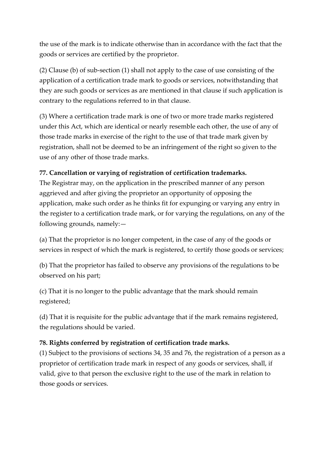the use of the mark is to indicate otherwise than in accordance with the fact that the goods or services are certified by the proprietor.

(2) Clause (b) of sub-section (1) shall not apply to the case of use consisting of the application of a certification trade mark to goods or services, notwithstanding that they are such goods or services as are mentioned in that clause if such application is contrary to the regulations referred to in that clause.

(3) Where a certification trade mark is one of two or more trade marks registered under this Act, which are identical or nearly resemble each other, the use of any of those trade marks in exercise of the right to the use of that trade mark given by registration, shall not be deemed to be an infringement of the right so given to the use of any other of those trade marks.

# **77. Cancellation or varying of registration of certification trademarks.**

The Registrar may, on the application in the prescribed manner of any person aggrieved and after giving the proprietor an opportunity of opposing the application, make such order as he thinks fit for expunging or varying any entry in the register to a certification trade mark, or for varying the regulations, on any of the following grounds, namely:—

(a) That the proprietor is no longer competent, in the case of any of the goods or services in respect of which the mark is registered, to certify those goods or services;

(b) That the proprietor has failed to observe any provisions of the regulations to be observed on his part;

(c) That it is no longer to the public advantage that the mark should remain registered;

(d) That it is requisite for the public advantage that if the mark remains registered, the regulations should be varied.

# **78. Rights conferred by registration of certification trade marks.**

(1) Subject to the provisions of sections 34, 35 and 76, the registration of a person as a proprietor of certification trade mark in respect of any goods or services, shall, if valid, give to that person the exclusive right to the use of the mark in relation to those goods or services.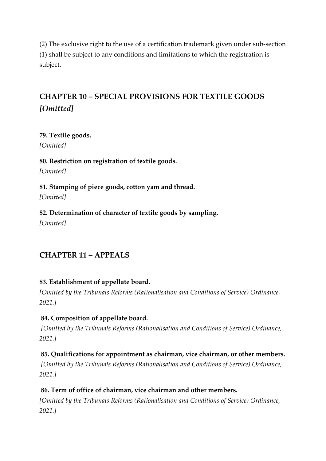(2) The exclusive right to the use of a certification trademark given under sub-section (1) shall be subject to any conditions and limitations to which the registration is subject.

# **CHAPTER 10 – SPECIAL PROVISIONS FOR TEXTILE GOODS**  *[Omitted]*

**79. Textile goods.** *[Omitted]*

**80. Restriction on registration of textile goods.** *[Omitted]*

**81. Stamping of piece goods, cotton yam and thread.** *[Omitted]*

**82. Determination of character of textile goods by sampling.** *[Omitted]*

# **CHAPTER 11 – APPEALS**

## **83. Establishment of appellate board.**

*[Omitted by the Tribunals Reforms (Rationalisation and Conditions of Service) Ordinance, 2021.]*

## **84. Composition of appellate board.**

*[Omitted by the Tribunals Reforms (Rationalisation and Conditions of Service) Ordinance, 2021.]*

## **85. Qualifications for appointment as chairman, vice chairman, or other members.**

*[Omitted by the Tribunals Reforms (Rationalisation and Conditions of Service) Ordinance, 2021.]*

## **86. Term of office of chairman, vice chairman and other members.**

*[Omitted by the Tribunals Reforms (Rationalisation and Conditions of Service) Ordinance, 2021.]*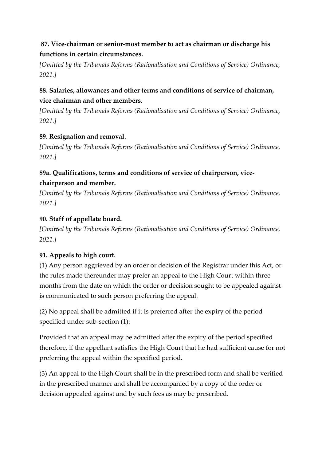# **87. Vice-chairman or senior-most member to act as chairman or discharge his functions in certain circumstances.**

*[Omitted by the Tribunals Reforms (Rationalisation and Conditions of Service) Ordinance, 2021.]*

# **88. Salaries, allowances and other terms and conditions of service of chairman, vice chairman and other members.**

*[Omitted by the Tribunals Reforms (Rationalisation and Conditions of Service) Ordinance, 2021.]*

# **89. Resignation and removal.**

*[Omitted by the Tribunals Reforms (Rationalisation and Conditions of Service) Ordinance, 2021.]*

# **89a. Qualifications, terms and conditions of service of chairperson, vicechairperson and member.**

*[Omitted by the Tribunals Reforms (Rationalisation and Conditions of Service) Ordinance, 2021.]*

# **90. Staff of appellate board.**

*[Omitted by the Tribunals Reforms (Rationalisation and Conditions of Service) Ordinance, 2021.]*

# **91. Appeals to high court.**

(1) Any person aggrieved by an order or decision of the Registrar under this Act, or the rules made thereunder may prefer an appeal to the High Court within three months from the date on which the order or decision sought to be appealed against is communicated to such person preferring the appeal.

(2) No appeal shall be admitted if it is preferred after the expiry of the period specified under sub-section (1):

Provided that an appeal may be admitted after the expiry of the period specified therefore, if the appellant satisfies the High Court that he had sufficient cause for not preferring the appeal within the specified period.

(3) An appeal to the High Court shall be in the prescribed form and shall be verified in the prescribed manner and shall be accompanied by a copy of the order or decision appealed against and by such fees as may be prescribed.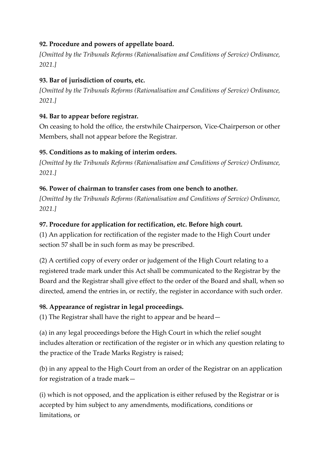## **92. Procedure and powers of appellate board.**

*[Omitted by the Tribunals Reforms (Rationalisation and Conditions of Service) Ordinance, 2021.]*

# **93. Bar of jurisdiction of courts, etc.**

*[Omitted by the Tribunals Reforms (Rationalisation and Conditions of Service) Ordinance, 2021.]*

# **94. Bar to appear before registrar.**

On ceasing to hold the office, the erstwhile Chairperson, Vice-Chairperson or other Members, shall not appear before the Registrar.

# **95. Conditions as to making of interim orders.**

*[Omitted by the Tribunals Reforms (Rationalisation and Conditions of Service) Ordinance, 2021.]*

# **96. Power of chairman to transfer cases from one bench to another.**

*[Omitted by the Tribunals Reforms (Rationalisation and Conditions of Service) Ordinance, 2021.]*

# **97. Procedure for application for rectification, etc. Before high court.**

(1) An application for rectification of the register made to the High Court under section 57 shall be in such form as may be prescribed.

(2) A certified copy of every order or judgement of the High Court relating to a registered trade mark under this Act shall be communicated to the Registrar by the Board and the Registrar shall give effect to the order of the Board and shall, when so directed, amend the entries in, or rectify, the register in accordance with such order.

# **98. Appearance of registrar in legal proceedings.**

(1) The Registrar shall have the right to appear and be heard—

(a) in any legal proceedings before the High Court in which the relief sought includes alteration or rectification of the register or in which any question relating to the practice of the Trade Marks Registry is raised;

(b) in any appeal to the High Court from an order of the Registrar on an application for registration of a trade mark—

(i) which is not opposed, and the application is either refused by the Registrar or is accepted by him subject to any amendments, modifications, conditions or limitations, or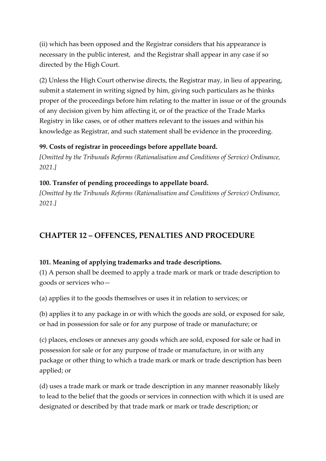(ii) which has been opposed and the Registrar considers that his appearance is necessary in the public interest, and the Registrar shall appear in any case if so directed by the High Court.

(2) Unless the High Court otherwise directs, the Registrar may, in lieu of appearing, submit a statement in writing signed by him, giving such particulars as he thinks proper of the proceedings before him relating to the matter in issue or of the grounds of any decision given by him affecting it, or of the practice of the Trade Marks Registry in like cases, or of other matters relevant to the issues and within his knowledge as Registrar, and such statement shall be evidence in the proceeding.

#### **99. Costs of registrar in proceedings before appellate board.**

*[Omitted by the Tribunals Reforms (Rationalisation and Conditions of Service) Ordinance, 2021.]*

### **100. Transfer of pending proceedings to appellate board.**

*[Omitted by the Tribunals Reforms (Rationalisation and Conditions of Service) Ordinance, 2021.]*

# **CHAPTER 12 – OFFENCES, PENALTIES AND PROCEDURE**

### **101. Meaning of applying trademarks and trade descriptions.**

(1) A person shall be deemed to apply a trade mark or mark or trade description to goods or services who—

(a) applies it to the goods themselves or uses it in relation to services; or

(b) applies it to any package in or with which the goods are sold, or exposed for sale, or had in possession for sale or for any purpose of trade or manufacture; or

(c) places, encloses or annexes any goods which are sold, exposed for sale or had in possession for sale or for any purpose of trade or manufacture, in or with any package or other thing to which a trade mark or mark or trade description has been applied; or

(d) uses a trade mark or mark or trade description in any manner reasonably likely to lead to the belief that the goods or services in connection with which it is used are designated or described by that trade mark or mark or trade description; or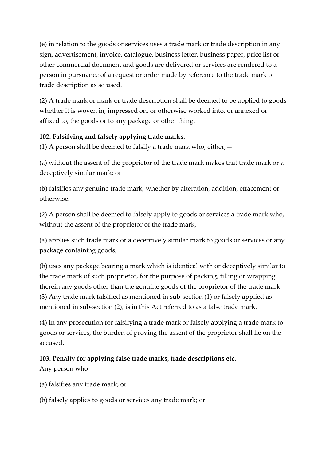(e) in relation to the goods or services uses a trade mark or trade description in any sign, advertisement, invoice, catalogue, business letter, business paper, price list or other commercial document and goods are delivered or services are rendered to a person in pursuance of a request or order made by reference to the trade mark or trade description as so used.

(2) A trade mark or mark or trade description shall be deemed to be applied to goods whether it is woven in, impressed on, or otherwise worked into, or annexed or affixed to, the goods or to any package or other thing.

## **102. Falsifying and falsely applying trade marks.**

(1) A person shall be deemed to falsify a trade mark who, either,  $-$ 

(a) without the assent of the proprietor of the trade mark makes that trade mark or a deceptively similar mark; or

(b) falsifies any genuine trade mark, whether by alteration, addition, effacement or otherwise.

(2) A person shall be deemed to falsely apply to goods or services a trade mark who, without the assent of the proprietor of the trade mark,—

(a) applies such trade mark or a deceptively similar mark to goods or services or any package containing goods;

(b) uses any package bearing a mark which is identical with or deceptively similar to the trade mark of such proprietor, for the purpose of packing, filling or wrapping therein any goods other than the genuine goods of the proprietor of the trade mark. (3) Any trade mark falsified as mentioned in sub-section (1) or falsely applied as mentioned in sub-section (2), is in this Act referred to as a false trade mark.

(4) In any prosecution for falsifying a trade mark or falsely applying a trade mark to goods or services, the burden of proving the assent of the proprietor shall lie on the accused.

### **103. Penalty for applying false trade marks, trade descriptions etc.**

Any person who—

(a) falsifies any trade mark; or

(b) falsely applies to goods or services any trade mark; or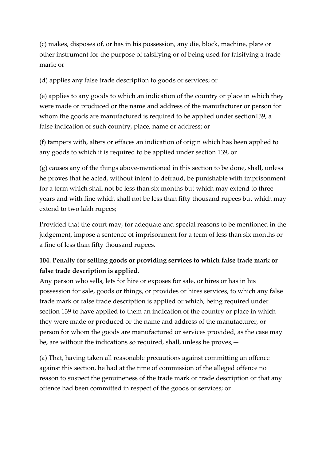(c) makes, disposes of, or has in his possession, any die, block, machine, plate or other instrument for the purpose of falsifying or of being used for falsifying a trade mark; or

(d) applies any false trade description to goods or services; or

(e) applies to any goods to which an indication of the country or place in which they were made or produced or the name and address of the manufacturer or person for whom the goods are manufactured is required to be applied under section139, a false indication of such country, place, name or address; or

(f) tampers with, alters or effaces an indication of origin which has been applied to any goods to which it is required to be applied under section 139, or

(g) causes any of the things above-mentioned in this section to be done, shall, unless he proves that he acted, without intent to defraud, be punishable with imprisonment for a term which shall not be less than six months but which may extend to three years and with fine which shall not be less than fifty thousand rupees but which may extend to two lakh rupees;

Provided that the court may, for adequate and special reasons to be mentioned in the judgement, impose a sentence of imprisonment for a term of less than six months or a fine of less than fifty thousand rupees.

# **104. Penalty for selling goods or providing services to which false trade mark or false trade description is applied.**

Any person who sells, lets for hire or exposes for sale, or hires or has in his possession for sale, goods or things, or provides or hires services, to which any false trade mark or false trade description is applied or which, being required under section 139 to have applied to them an indication of the country or place in which they were made or produced or the name and address of the manufacturer, or person for whom the goods are manufactured or services provided, as the case may be, are without the indications so required, shall, unless he proves,—

(a) That, having taken all reasonable precautions against committing an offence against this section, he had at the time of commission of the alleged offence no reason to suspect the genuineness of the trade mark or trade description or that any offence had been committed in respect of the goods or services; or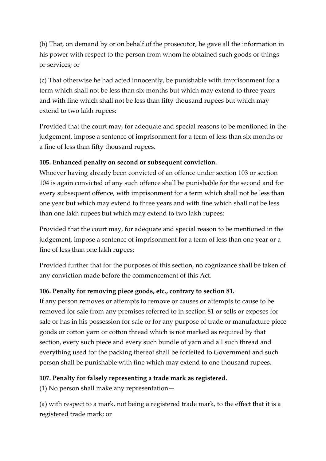(b) That, on demand by or on behalf of the prosecutor, he gave all the information in his power with respect to the person from whom he obtained such goods or things or services; or

(c) That otherwise he had acted innocently, be punishable with imprisonment for a term which shall not be less than six months but which may extend to three years and with fine which shall not be less than fifty thousand rupees but which may extend to two lakh rupees:

Provided that the court may, for adequate and special reasons to be mentioned in the judgement, impose a sentence of imprisonment for a term of less than six months or a fine of less than fifty thousand rupees.

## **105. Enhanced penalty on second or subsequent conviction.**

Whoever having already been convicted of an offence under section 103 or section 104 is again convicted of any such offence shall be punishable for the second and for every subsequent offence, with imprisonment for a term which shall not be less than one year but which may extend to three years and with fine which shall not be less than one lakh rupees but which may extend to two lakh rupees:

Provided that the court may, for adequate and special reason to be mentioned in the judgement, impose a sentence of imprisonment for a term of less than one year or a fine of less than one lakh rupees:

Provided further that for the purposes of this section, no cognizance shall be taken of any conviction made before the commencement of this Act.

### **106. Penalty for removing piece goods, etc., contrary to section 81.**

If any person removes or attempts to remove or causes or attempts to cause to be removed for sale from any premises referred to in section 81 or sells or exposes for sale or has in his possession for sale or for any purpose of trade or manufacture piece goods or cotton yarn or cotton thread which is not marked as required by that section, every such piece and every such bundle of yarn and all such thread and everything used for the packing thereof shall be forfeited to Government and such person shall be punishable with fine which may extend to one thousand rupees.

### **107. Penalty for falsely representing a trade mark as registered.**

(1) No person shall make any representation—

(a) with respect to a mark, not being a registered trade mark, to the effect that it is a registered trade mark; or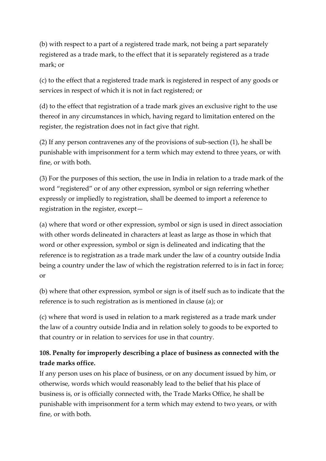(b) with respect to a part of a registered trade mark, not being a part separately registered as a trade mark, to the effect that it is separately registered as a trade mark; or

(c) to the effect that a registered trade mark is registered in respect of any goods or services in respect of which it is not in fact registered; or

(d) to the effect that registration of a trade mark gives an exclusive right to the use thereof in any circumstances in which, having regard to limitation entered on the register, the registration does not in fact give that right.

(2) If any person contravenes any of the provisions of sub-section (1), he shall be punishable with imprisonment for a term which may extend to three years, or with fine, or with both.

(3) For the purposes of this section, the use in India in relation to a trade mark of the word "registered" or of any other expression, symbol or sign referring whether expressly or impliedly to registration, shall be deemed to import a reference to registration in the register, except—

(a) where that word or other expression, symbol or sign is used in direct association with other words delineated in characters at least as large as those in which that word or other expression, symbol or sign is delineated and indicating that the reference is to registration as a trade mark under the law of a country outside India being a country under the law of which the registration referred to is in fact in force; or

(b) where that other expression, symbol or sign is of itself such as to indicate that the reference is to such registration as is mentioned in clause (a); or

(c) where that word is used in relation to a mark registered as a trade mark under the law of a country outside India and in relation solely to goods to be exported to that country or in relation to services for use in that country.

# **108. Penalty for improperly describing a place of business as connected with the trade marks office.**

If any person uses on his place of business, or on any document issued by him, or otherwise, words which would reasonably lead to the belief that his place of business is, or is officially connected with, the Trade Marks Office, he shall be punishable with imprisonment for a term which may extend to two years, or with fine, or with both.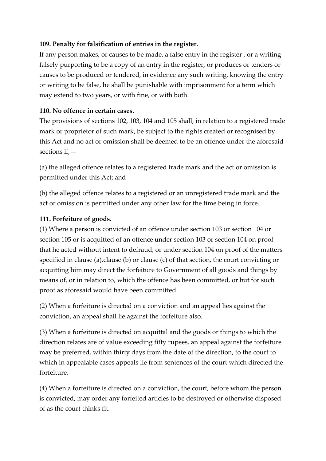## **109. Penalty for falsification of entries in the register.**

If any person makes, or causes to be made, a false entry in the register , or a writing falsely purporting to be a copy of an entry in the register, or produces or tenders or causes to be produced or tendered, in evidence any such writing, knowing the entry or writing to be false, he shall be punishable with imprisonment for a term which may extend to two years, or with fine, or with both.

### **110. No offence in certain cases.**

The provisions of sections 102, 103, 104 and 105 shall, in relation to a registered trade mark or proprietor of such mark, be subject to the rights created or recognised by this Act and no act or omission shall be deemed to be an offence under the aforesaid sections if,—

(a) the alleged offence relates to a registered trade mark and the act or omission is permitted under this Act; and

(b) the alleged offence relates to a registered or an unregistered trade mark and the act or omission is permitted under any other law for the time being in force.

### **111. Forfeiture of goods.**

(1) Where a person is convicted of an offence under section 103 or section 104 or section 105 or is acquitted of an offence under section 103 or section 104 on proof that he acted without intent to defraud, or under section 104 on proof of the matters specified in clause (a), clause (b) or clause (c) of that section, the court convicting or acquitting him may direct the forfeiture to Government of all goods and things by means of, or in relation to, which the offence has been committed, or but for such proof as aforesaid would have been committed.

(2) When a forfeiture is directed on a conviction and an appeal lies against the conviction, an appeal shall lie against the forfeiture also.

(3) When a forfeiture is directed on acquittal and the goods or things to which the direction relates are of value exceeding fifty rupees, an appeal against the forfeiture may be preferred, within thirty days from the date of the direction, to the court to which in appealable cases appeals lie from sentences of the court which directed the forfeiture.

(4) When a forfeiture is directed on a conviction, the court, before whom the person is convicted, may order any forfeited articles to be destroyed or otherwise disposed of as the court thinks fit.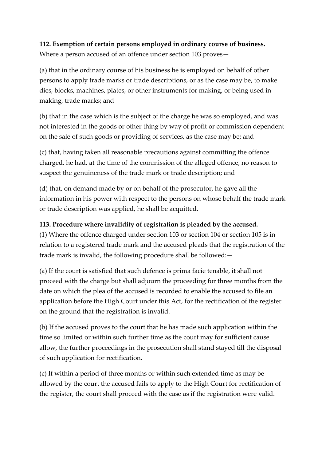# **112. Exemption of certain persons employed in ordinary course of business.**

Where a person accused of an offence under section 103 proves—

(a) that in the ordinary course of his business he is employed on behalf of other persons to apply trade marks or trade descriptions, or as the case may be, to make dies, blocks, machines, plates, or other instruments for making, or being used in making, trade marks; and

(b) that in the case which is the subject of the charge he was so employed, and was not interested in the goods or other thing by way of profit or commission dependent on the sale of such goods or providing of services, as the case may be; and

(c) that, having taken all reasonable precautions against committing the offence charged, he had, at the time of the commission of the alleged offence, no reason to suspect the genuineness of the trade mark or trade description; and

(d) that, on demand made by or on behalf of the prosecutor, he gave all the information in his power with respect to the persons on whose behalf the trade mark or trade description was applied, he shall be acquitted.

# **113. Procedure where invalidity of registration is pleaded by the accused.**

(1) Where the offence charged under section 103 or section 104 or section 105 is in relation to a registered trade mark and the accused pleads that the registration of the trade mark is invalid, the following procedure shall be followed:—

(a) If the court is satisfied that such defence is prima facie tenable, it shall not proceed with the charge but shall adjourn the proceeding for three months from the date on which the plea of the accused is recorded to enable the accused to file an application before the High Court under this Act, for the rectification of the register on the ground that the registration is invalid.

(b) If the accused proves to the court that he has made such application within the time so limited or within such further time as the court may for sufficient cause allow, the further proceedings in the prosecution shall stand stayed till the disposal of such application for rectification.

(c) If within a period of three months or within such extended time as may be allowed by the court the accused fails to apply to the High Court for rectification of the register, the court shall proceed with the case as if the registration were valid.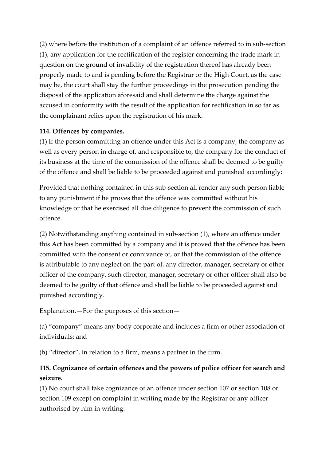(2) where before the institution of a complaint of an offence referred to in sub-section (1), any application for the rectification of the register concerning the trade mark in question on the ground of invalidity of the registration thereof has already been properly made to and is pending before the Registrar or the High Court, as the case may be, the court shall stay the further proceedings in the prosecution pending the disposal of the application aforesaid and shall determine the charge against the accused in conformity with the result of the application for rectification in so far as the complainant relies upon the registration of his mark.

## **114. Offences by companies.**

(1) If the person committing an offence under this Act is a company, the company as well as every person in charge of, and responsible to, the company for the conduct of its business at the time of the commission of the offence shall be deemed to be guilty of the offence and shall be liable to be proceeded against and punished accordingly:

Provided that nothing contained in this sub-section all render any such person liable to any punishment if he proves that the offence was committed without his knowledge or that he exercised all due diligence to prevent the commission of such offence.

(2) Notwithstanding anything contained in sub-section (1), where an offence under this Act has been committed by a company and it is proved that the offence has been committed with the consent or connivance of, or that the commission of the offence is attributable to any neglect on the part of, any director, manager, secretary or other officer of the company, such director, manager, secretary or other officer shall also be deemed to be guilty of that offence and shall be liable to be proceeded against and punished accordingly.

Explanation.—For the purposes of this section—

(a) "company" means any body corporate and includes a firm or other association of individuals; and

(b) "director", in relation to a firm, means a partner in the firm.

# **115. Cognizance of certain offences and the powers of police officer for search and seizure.**

(1) No court shall take cognizance of an offence under section 107 or section 108 or section 109 except on complaint in writing made by the Registrar or any officer authorised by him in writing: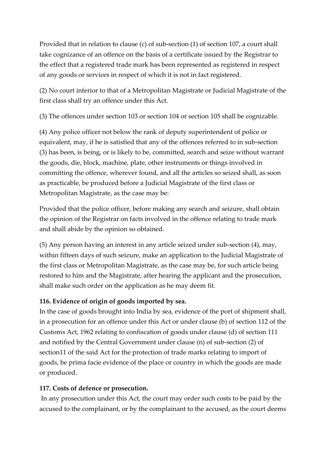Provided that in relation to clause (c) of sub-section (1) of section 107, a court shall take cognizance of an offence on the basis of a certificate issued by the Registrar to the effect that a registered trade mark has been represented as registered in respect of any goods or services in respect of which it is not in fact registered.

(2) No court inferior to that of a Metropolitan Magistrate or Judicial Magistrate of the first class shall try an offence under this Act.

(3) The offences under section 103 or section 104 or section 105 shall be cognizable.

(4) Any police officer not below the rank of deputy superintendent of police or equivalent, may, if he is satisfied that any of the offences referred to in sub-section (3) has been, is being, or is likely to be, committed, search and seize without warrant the goods, die, block, machine, plate, other instruments or things involved in committing the offence, wherever found, and all the articles so seized shall, as soon as practicable, be produced before a Judicial Magistrate of the first class or Metropolitan Magistrate, as the case may be:

Provided that the police officer, before making any search and seizure, shall obtain the opinion of the Registrar on facts involved in the offence relating to trade mark and shall abide by the opinion so obtained.

(5) Any person having an interest in any article seized under sub-section (4), may, within fifteen days of such seizure, make an application to the Judicial Magistrate of the first class or Metropolitan Magistrate, as the case may be, for such article being restored to him and the Magistrate, after hearing the applicant and the prosecution, shall make such order on the application as he may deem fit.

## **116. Evidence of origin of goods imported by sea.**

In the case of goods brought into India by sea, evidence of the port of shipment shall, in a prosecution for an offence under this Act or under clause (b) of section 112 of the Customs Act, 1962 relating to confiscation of goods under clause (d) of section 111 and notified by the Central Government under clause (n) of sub-section (2) of section11 of the said Act for the protection of trade marks relating to import of goods, be prima facie evidence of the place or country in which the goods are made or produced.

### **117. Costs of defence or prosecution.**

In any prosecution under this Act, the court may order such costs to be paid by the accused to the complainant, or by the complainant to the accused, as the court deems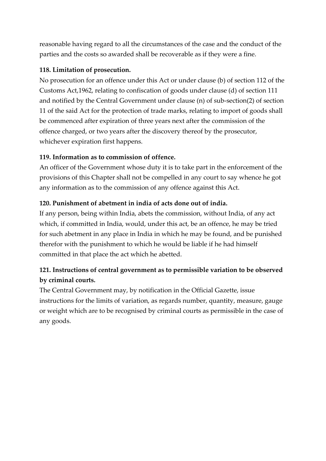reasonable having regard to all the circumstances of the case and the conduct of the parties and the costs so awarded shall be recoverable as if they were a fine.

## **118. Limitation of prosecution.**

No prosecution for an offence under this Act or under clause (b) of section 112 of the Customs Act,1962, relating to confiscation of goods under clause (d) of section 111 and notified by the Central Government under clause (n) of sub-section(2) of section 11 of the said Act for the protection of trade marks, relating to import of goods shall be commenced after expiration of three years next after the commission of the offence charged, or two years after the discovery thereof by the prosecutor, whichever expiration first happens.

## **119. Information as to commission of offence.**

An officer of the Government whose duty it is to take part in the enforcement of the provisions of this Chapter shall not be compelled in any court to say whence he got any information as to the commission of any offence against this Act.

## **120. Punishment of abetment in india of acts done out of india.**

If any person, being within India, abets the commission, without India, of any act which, if committed in India, would, under this act, be an offence, he may be tried for such abetment in any place in India in which he may be found, and be punished therefor with the punishment to which he would be liable if he had himself committed in that place the act which he abetted.

# **121. Instructions of central government as to permissible variation to be observed by criminal courts.**

The Central Government may, by notification in the Official Gazette, issue instructions for the limits of variation, as regards number, quantity, measure, gauge or weight which are to be recognised by criminal courts as permissible in the case of any goods.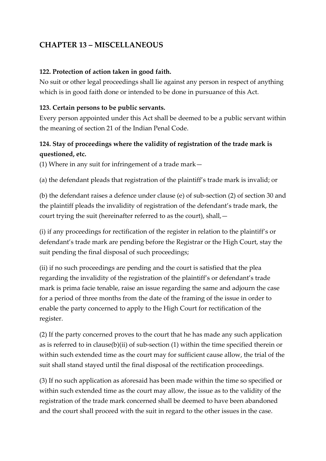# **CHAPTER 13 – MISCELLANEOUS**

### **122. Protection of action taken in good faith.**

No suit or other legal proceedings shall lie against any person in respect of anything which is in good faith done or intended to be done in pursuance of this Act.

### **123. Certain persons to be public servants.**

Every person appointed under this Act shall be deemed to be a public servant within the meaning of section 21 of the Indian Penal Code.

# **124. Stay of proceedings where the validity of registration of the trade mark is questioned, etc.**

(1) Where in any suit for infringement of a trade mark—

(a) the defendant pleads that registration of the plaintiff's trade mark is invalid; or

(b) the defendant raises a defence under clause (e) of sub-section (2) of section 30 and the plaintiff pleads the invalidity of registration of the defendant's trade mark, the court trying the suit (hereinafter referred to as the court), shall,—

(i) if any proceedings for rectification of the register in relation to the plaintiff's or defendant's trade mark are pending before the Registrar or the High Court, stay the suit pending the final disposal of such proceedings;

(ii) if no such proceedings are pending and the court is satisfied that the plea regarding the invalidity of the registration of the plaintiff's or defendant's trade mark is prima facie tenable, raise an issue regarding the same and adjourn the case for a period of three months from the date of the framing of the issue in order to enable the party concerned to apply to the High Court for rectification of the register.

(2) If the party concerned proves to the court that he has made any such application as is referred to in clause(b)(ii) of sub-section (1) within the time specified therein or within such extended time as the court may for sufficient cause allow, the trial of the suit shall stand stayed until the final disposal of the rectification proceedings.

(3) If no such application as aforesaid has been made within the time so specified or within such extended time as the court may allow, the issue as to the validity of the registration of the trade mark concerned shall be deemed to have been abandoned and the court shall proceed with the suit in regard to the other issues in the case.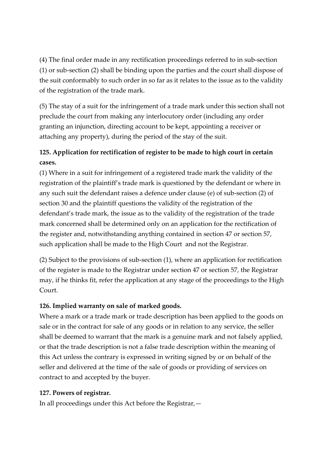(4) The final order made in any rectification proceedings referred to in sub-section (1) or sub-section (2) shall be binding upon the parties and the court shall dispose of the suit conformably to such order in so far as it relates to the issue as to the validity of the registration of the trade mark.

(5) The stay of a suit for the infringement of a trade mark under this section shall not preclude the court from making any interlocutory order (including any order granting an injunction, directing account to be kept, appointing a receiver or attaching any property), during the period of the stay of the suit.

# **125. Application for rectification of register to be made to high court in certain cases.**

(1) Where in a suit for infringement of a registered trade mark the validity of the registration of the plaintiff's trade mark is questioned by the defendant or where in any such suit the defendant raises a defence under clause (e) of sub-section (2) of section 30 and the plaintiff questions the validity of the registration of the defendant's trade mark, the issue as to the validity of the registration of the trade mark concerned shall be determined only on an application for the rectification of the register and, notwithstanding anything contained in section 47 or section 57, such application shall be made to the High Court and not the Registrar.

(2) Subject to the provisions of sub-section (1), where an application for rectification of the register is made to the Registrar under section 47 or section 57, the Registrar may, if he thinks fit, refer the application at any stage of the proceedings to the High Court.

## **126. Implied warranty on sale of marked goods.**

Where a mark or a trade mark or trade description has been applied to the goods on sale or in the contract for sale of any goods or in relation to any service, the seller shall be deemed to warrant that the mark is a genuine mark and not falsely applied, or that the trade description is not a false trade description within the meaning of this Act unless the contrary is expressed in writing signed by or on behalf of the seller and delivered at the time of the sale of goods or providing of services on contract to and accepted by the buyer.

## **127. Powers of registrar.**

In all proceedings under this Act before the Registrar,—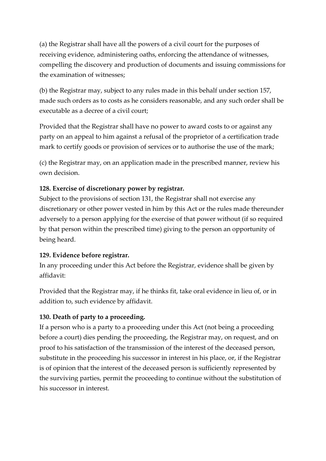(a) the Registrar shall have all the powers of a civil court for the purposes of receiving evidence, administering oaths, enforcing the attendance of witnesses, compelling the discovery and production of documents and issuing commissions for the examination of witnesses;

(b) the Registrar may, subject to any rules made in this behalf under section 157, made such orders as to costs as he considers reasonable, and any such order shall be executable as a decree of a civil court;

Provided that the Registrar shall have no power to award costs to or against any party on an appeal to him against a refusal of the proprietor of a certification trade mark to certify goods or provision of services or to authorise the use of the mark;

(c) the Registrar may, on an application made in the prescribed manner, review his own decision.

## **128. Exercise of discretionary power by registrar.**

Subject to the provisions of section 131, the Registrar shall not exercise any discretionary or other power vested in him by this Act or the rules made thereunder adversely to a person applying for the exercise of that power without (if so required by that person within the prescribed time) giving to the person an opportunity of being heard.

### **129. Evidence before registrar.**

In any proceeding under this Act before the Registrar, evidence shall be given by affidavit:

Provided that the Registrar may, if he thinks fit, take oral evidence in lieu of, or in addition to, such evidence by affidavit.

### **130. Death of party to a proceeding.**

If a person who is a party to a proceeding under this Act (not being a proceeding before a court) dies pending the proceeding, the Registrar may, on request, and on proof to his satisfaction of the transmission of the interest of the deceased person, substitute in the proceeding his successor in interest in his place, or, if the Registrar is of opinion that the interest of the deceased person is sufficiently represented by the surviving parties, permit the proceeding to continue without the substitution of his successor in interest.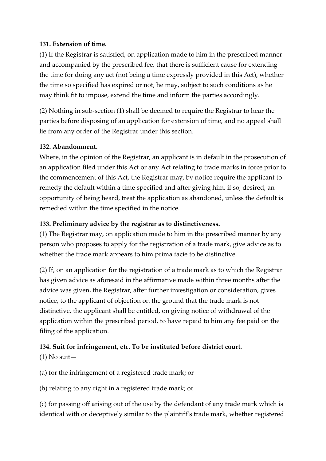## **131. Extension of time.**

(1) If the Registrar is satisfied, on application made to him in the prescribed manner and accompanied by the prescribed fee, that there is sufficient cause for extending the time for doing any act (not being a time expressly provided in this Act), whether the time so specified has expired or not, he may, subject to such conditions as he may think fit to impose, extend the time and inform the parties accordingly.

(2) Nothing in sub-section (1) shall be deemed to require the Registrar to hear the parties before disposing of an application for extension of time, and no appeal shall lie from any order of the Registrar under this section.

## **132. Abandonment.**

Where, in the opinion of the Registrar, an applicant is in default in the prosecution of an application filed under this Act or any Act relating to trade marks in force prior to the commencement of this Act, the Registrar may, by notice require the applicant to remedy the default within a time specified and after giving him, if so, desired, an opportunity of being heard, treat the application as abandoned, unless the default is remedied within the time specified in the notice.

## **133. Preliminary advice by the registrar as to distinctiveness.**

(1) The Registrar may, on application made to him in the prescribed manner by any person who proposes to apply for the registration of a trade mark, give advice as to whether the trade mark appears to him prima facie to be distinctive.

(2) If, on an application for the registration of a trade mark as to which the Registrar has given advice as aforesaid in the affirmative made within three months after the advice was given, the Registrar, after further investigation or consideration, gives notice, to the applicant of objection on the ground that the trade mark is not distinctive, the applicant shall be entitled, on giving notice of withdrawal of the application within the prescribed period, to have repaid to him any fee paid on the filing of the application.

## **134. Suit for infringement, etc. To be instituted before district court.**

 $(1)$  No suit-

(a) for the infringement of a registered trade mark; or

(b) relating to any right in a registered trade mark; or

(c) for passing off arising out of the use by the defendant of any trade mark which is identical with or deceptively similar to the plaintiff's trade mark, whether registered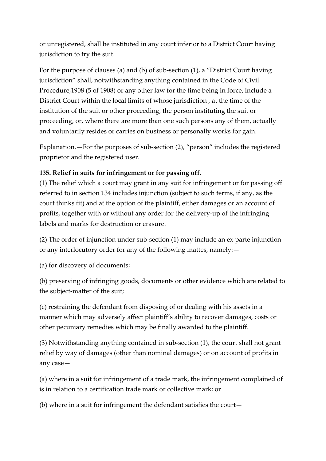or unregistered, shall be instituted in any court inferior to a District Court having jurisdiction to try the suit.

For the purpose of clauses (a) and (b) of sub-section (1), a "District Court having jurisdiction" shall, notwithstanding anything contained in the Code of Civil Procedure,1908 (5 of 1908) or any other law for the time being in force, include a District Court within the local limits of whose jurisdiction , at the time of the institution of the suit or other proceeding, the person instituting the suit or proceeding, or, where there are more than one such persons any of them, actually and voluntarily resides or carries on business or personally works for gain.

Explanation.—For the purposes of sub-section (2), "person" includes the registered proprietor and the registered user.

## **135. Relief in suits for infringement or for passing off.**

(1) The relief which a court may grant in any suit for infringement or for passing off referred to in section 134 includes injunction (subject to such terms, if any, as the court thinks fit) and at the option of the plaintiff, either damages or an account of profits, together with or without any order for the delivery-up of the infringing labels and marks for destruction or erasure.

(2) The order of injunction under sub-section (1) may include an ex parte injunction or any interlocutory order for any of the following mattes, namely:—

(a) for discovery of documents;

(b) preserving of infringing goods, documents or other evidence which are related to the subject-matter of the suit;

(c) restraining the defendant from disposing of or dealing with his assets in a manner which may adversely affect plaintiff's ability to recover damages, costs or other pecuniary remedies which may be finally awarded to the plaintiff.

(3) Notwithstanding anything contained in sub-section (1), the court shall not grant relief by way of damages (other than nominal damages) or on account of profits in any case—

(a) where in a suit for infringement of a trade mark, the infringement complained of is in relation to a certification trade mark or collective mark; or

(b) where in a suit for infringement the defendant satisfies the court—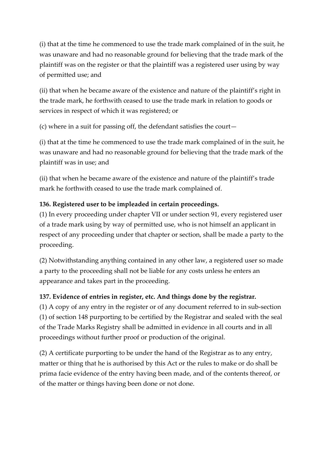(i) that at the time he commenced to use the trade mark complained of in the suit, he was unaware and had no reasonable ground for believing that the trade mark of the plaintiff was on the register or that the plaintiff was a registered user using by way of permitted use; and

(ii) that when he became aware of the existence and nature of the plaintiff's right in the trade mark, he forthwith ceased to use the trade mark in relation to goods or services in respect of which it was registered; or

(c) where in a suit for passing off, the defendant satisfies the court—

(i) that at the time he commenced to use the trade mark complained of in the suit, he was unaware and had no reasonable ground for believing that the trade mark of the plaintiff was in use; and

(ii) that when he became aware of the existence and nature of the plaintiff's trade mark he forthwith ceased to use the trade mark complained of.

## **136. Registered user to be impleaded in certain proceedings.**

(1) In every proceeding under chapter VII or under section 91, every registered user of a trade mark using by way of permitted use, who is not himself an applicant in respect of any proceeding under that chapter or section, shall be made a party to the proceeding.

(2) Notwithstanding anything contained in any other law, a registered user so made a party to the proceeding shall not be liable for any costs unless he enters an appearance and takes part in the proceeding.

### **137. Evidence of entries in register, etc. And things done by the registrar.**

(1) A copy of any entry in the register or of any document referred to in sub-section (1) of section 148 purporting to be certified by the Registrar and sealed with the seal of the Trade Marks Registry shall be admitted in evidence in all courts and in all proceedings without further proof or production of the original.

(2) A certificate purporting to be under the hand of the Registrar as to any entry, matter or thing that he is authorised by this Act or the rules to make or do shall be prima facie evidence of the entry having been made, and of the contents thereof, or of the matter or things having been done or not done.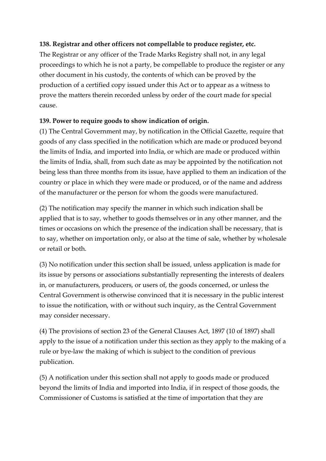## **138. Registrar and other officers not compellable to produce register, etc.**

The Registrar or any officer of the Trade Marks Registry shall not, in any legal proceedings to which he is not a party, be compellable to produce the register or any other document in his custody, the contents of which can be proved by the production of a certified copy issued under this Act or to appear as a witness to prove the matters therein recorded unless by order of the court made for special cause.

## **139. Power to require goods to show indication of origin.**

(1) The Central Government may, by notification in the Official Gazette, require that goods of any class specified in the notification which are made or produced beyond the limits of India, and imported into India, or which are made or produced within the limits of India, shall, from such date as may be appointed by the notification not being less than three months from its issue, have applied to them an indication of the country or place in which they were made or produced, or of the name and address of the manufacturer or the person for whom the goods were manufactured.

(2) The notification may specify the manner in which such indication shall be applied that is to say, whether to goods themselves or in any other manner, and the times or occasions on which the presence of the indication shall be necessary, that is to say, whether on importation only, or also at the time of sale, whether by wholesale or retail or both.

(3) No notification under this section shall be issued, unless application is made for its issue by persons or associations substantially representing the interests of dealers in, or manufacturers, producers, or users of, the goods concerned, or unless the Central Government is otherwise convinced that it is necessary in the public interest to issue the notification, with or without such inquiry, as the Central Government may consider necessary.

(4) The provisions of section 23 of the General Clauses Act, 1897 (10 of 1897) shall apply to the issue of a notification under this section as they apply to the making of a rule or bye-law the making of which is subject to the condition of previous publication.

(5) A notification under this section shall not apply to goods made or produced beyond the limits of India and imported into India, if in respect of those goods, the Commissioner of Customs is satisfied at the time of importation that they are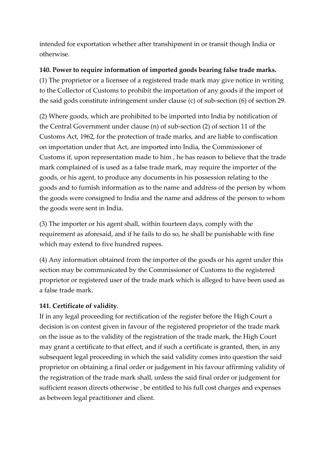intended for exportation whether after transhipment in or transit though India or otherwise.

## **140. Power to require information of imported goods bearing false trade marks.**

(1) The proprietor or a licensee of a registered trade mark may give notice in writing to the Collector of Customs to prohibit the importation of any goods if the import of the said gods constitute infringement under clause (c) of sub-section (6) of section 29.

(2) Where goods, which are prohibited to be imported into India by notification of the Central Government under clause (n) of sub-section (2) of section 11 of the Customs Act, 1962, for the protection of trade marks, and are liable to confiscation on importation under that Act, are imported into India, the Commissioner of Customs if, upon representation made to him , he has reason to believe that the trade mark complained of is used as a false trade mark, may require the importer of the goods, or his agent, to produce any documents in his possession relating to the goods and to furnish information as to the name and address of the person by whom the goods were consigned to India and the name and address of the person to whom the goods were sent in India.

(3) The importer or his agent shall, within fourteen days, comply with the requirement as aforesaid, and if he fails to do so, he shall be punishable with fine which may extend to five hundred rupees.

(4) Any information obtained from the importer of the goods or his agent under this section may be communicated by the Commissioner of Customs to the registered proprietor or registered user of the trade mark which is alleged to have been used as a false trade mark.

## **141. Certificate of validity.**

If in any legal proceeding for rectification of the register before the High Court a decision is on contest given in favour of the registered proprietor of the trade mark on the issue as to the validity of the registration of the trade mark, the High Court may grant a certificate to that effect, and if such a certificate is granted, then, in any subsequent legal proceeding in which the said validity comes into question the said proprietor on obtaining a final order or judgement in his favour affirming validity of the registration of the trade mark shall, unless the said final order or judgement for sufficient reason directs otherwise , be entitled to his full cost charges and expenses as between legal practitioner and client.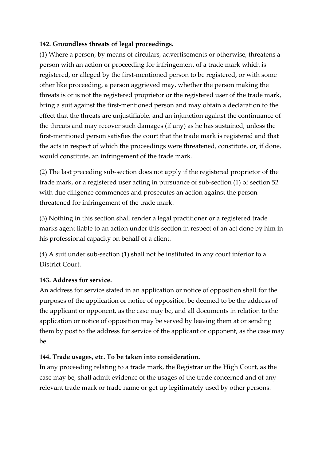### **142. Groundless threats of legal proceedings.**

(1) Where a person, by means of circulars, advertisements or otherwise, threatens a person with an action or proceeding for infringement of a trade mark which is registered, or alleged by the first-mentioned person to be registered, or with some other like proceeding, a person aggrieved may, whether the person making the threats is or is not the registered proprietor or the registered user of the trade mark, bring a suit against the first-mentioned person and may obtain a declaration to the effect that the threats are unjustifiable, and an injunction against the continuance of the threats and may recover such damages (if any) as he has sustained, unless the first-mentioned person satisfies the court that the trade mark is registered and that the acts in respect of which the proceedings were threatened, constitute, or, if done, would constitute, an infringement of the trade mark.

(2) The last preceding sub-section does not apply if the registered proprietor of the trade mark, or a registered user acting in pursuance of sub-section (1) of section 52 with due diligence commences and prosecutes an action against the person threatened for infringement of the trade mark.

(3) Nothing in this section shall render a legal practitioner or a registered trade marks agent liable to an action under this section in respect of an act done by him in his professional capacity on behalf of a client.

(4) A suit under sub-section (1) shall not be instituted in any court inferior to a District Court.

## **143. Address for service.**

An address for service stated in an application or notice of opposition shall for the purposes of the application or notice of opposition be deemed to be the address of the applicant or opponent, as the case may be, and all documents in relation to the application or notice of opposition may be served by leaving them at or sending them by post to the address for service of the applicant or opponent, as the case may  $he$ 

## **144. Trade usages, etc. To be taken into consideration.**

In any proceeding relating to a trade mark, the Registrar or the High Court, as the case may be, shall admit evidence of the usages of the trade concerned and of any relevant trade mark or trade name or get up legitimately used by other persons.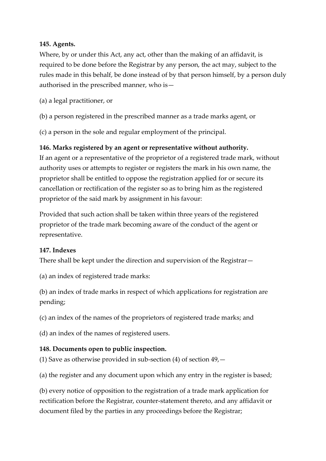#### **145. Agents.**

Where, by or under this Act, any act, other than the making of an affidavit, is required to be done before the Registrar by any person, the act may, subject to the rules made in this behalf, be done instead of by that person himself, by a person duly authorised in the prescribed manner, who is—

- (a) a legal practitioner, or
- (b) a person registered in the prescribed manner as a trade marks agent, or

(c) a person in the sole and regular employment of the principal.

### **146. Marks registered by an agent or representative without authority.**

If an agent or a representative of the proprietor of a registered trade mark, without authority uses or attempts to register or registers the mark in his own name, the proprietor shall be entitled to oppose the registration applied for or secure its cancellation or rectification of the register so as to bring him as the registered proprietor of the said mark by assignment in his favour:

Provided that such action shall be taken within three years of the registered proprietor of the trade mark becoming aware of the conduct of the agent or representative.

### **147. Indexes**

There shall be kept under the direction and supervision of the Registrar—

(a) an index of registered trade marks:

(b) an index of trade marks in respect of which applications for registration are pending;

(c) an index of the names of the proprietors of registered trade marks; and

(d) an index of the names of registered users.

## **148. Documents open to public inspection.**

(1) Save as otherwise provided in sub-section (4) of section 49,—

(a) the register and any document upon which any entry in the register is based;

(b) every notice of opposition to the registration of a trade mark application for rectification before the Registrar, counter-statement thereto, and any affidavit or document filed by the parties in any proceedings before the Registrar;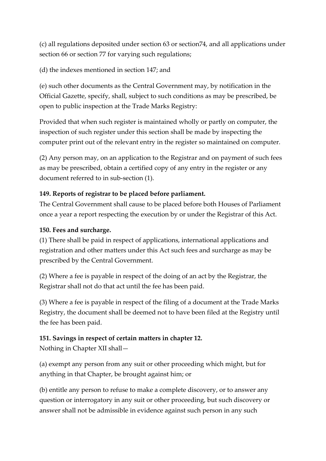(c) all regulations deposited under section 63 or section74, and all applications under section 66 or section 77 for varying such regulations;

(d) the indexes mentioned in section 147; and

(e) such other documents as the Central Government may, by notification in the Official Gazette, specify, shall, subject to such conditions as may be prescribed, be open to public inspection at the Trade Marks Registry:

Provided that when such register is maintained wholly or partly on computer, the inspection of such register under this section shall be made by inspecting the computer print out of the relevant entry in the register so maintained on computer.

(2) Any person may, on an application to the Registrar and on payment of such fees as may be prescribed, obtain a certified copy of any entry in the register or any document referred to in sub-section (1).

# **149. Reports of registrar to be placed before parliament.**

The Central Government shall cause to be placed before both Houses of Parliament once a year a report respecting the execution by or under the Registrar of this Act.

# **150. Fees and surcharge.**

(1) There shall be paid in respect of applications, international applications and registration and other matters under this Act such fees and surcharge as may be prescribed by the Central Government.

(2) Where a fee is payable in respect of the doing of an act by the Registrar, the Registrar shall not do that act until the fee has been paid.

(3) Where a fee is payable in respect of the filing of a document at the Trade Marks Registry, the document shall be deemed not to have been filed at the Registry until the fee has been paid.

## **151. Savings in respect of certain matters in chapter 12.**

Nothing in Chapter XII shall—

(a) exempt any person from any suit or other proceeding which might, but for anything in that Chapter, be brought against him; or

(b) entitle any person to refuse to make a complete discovery, or to answer any question or interrogatory in any suit or other proceeding, but such discovery or answer shall not be admissible in evidence against such person in any such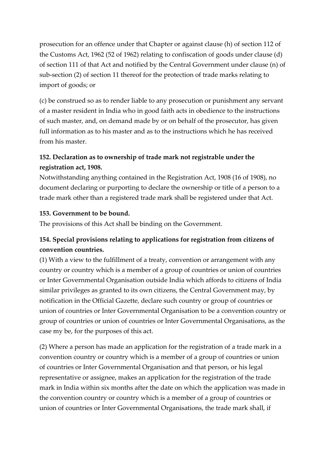prosecution for an offence under that Chapter or against clause (h) of section 112 of the Customs Act, 1962 (52 of 1962) relating to confiscation of goods under clause (d) of section 111 of that Act and notified by the Central Government under clause (n) of sub-section (2) of section 11 thereof for the protection of trade marks relating to import of goods; or

(c) be construed so as to render liable to any prosecution or punishment any servant of a master resident in India who in good faith acts in obedience to the instructions of such master, and, on demand made by or on behalf of the prosecutor, has given full information as to his master and as to the instructions which he has received from his master.

# **152. Declaration as to ownership of trade mark not registrable under the registration act, 1908.**

Notwithstanding anything contained in the Registration Act, 1908 (16 of 1908), no document declaring or purporting to declare the ownership or title of a person to a trade mark other than a registered trade mark shall be registered under that Act.

### **153. Government to be bound.**

The provisions of this Act shall be binding on the Government.

# **154. Special provisions relating to applications for registration from citizens of convention countries.**

(1) With a view to the fulfillment of a treaty, convention or arrangement with any country or country which is a member of a group of countries or union of countries or Inter Governmental Organisation outside India which affords to citizens of India similar privileges as granted to its own citizens, the Central Government may, by notification in the Official Gazette, declare such country or group of countries or union of countries or Inter Governmental Organisation to be a convention country or group of countries or union of countries or Inter Governmental Organisations, as the case my be, for the purposes of this act.

(2) Where a person has made an application for the registration of a trade mark in a convention country or country which is a member of a group of countries or union of countries or Inter Governmental Organisation and that person, or his legal representative or assignee, makes an application for the registration of the trade mark in India within six months after the date on which the application was made in the convention country or country which is a member of a group of countries or union of countries or Inter Governmental Organisations, the trade mark shall, if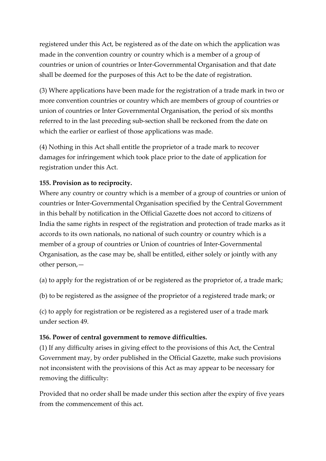registered under this Act, be registered as of the date on which the application was made in the convention country or country which is a member of a group of countries or union of countries or Inter-Governmental Organisation and that date shall be deemed for the purposes of this Act to be the date of registration.

(3) Where applications have been made for the registration of a trade mark in two or more convention countries or country which are members of group of countries or union of countries or Inter Governmental Organisation, the period of six months referred to in the last preceding sub-section shall be reckoned from the date on which the earlier or earliest of those applications was made.

(4) Nothing in this Act shall entitle the proprietor of a trade mark to recover damages for infringement which took place prior to the date of application for registration under this Act.

### **155. Provision as to reciprocity.**

Where any country or country which is a member of a group of countries or union of countries or Inter-Governmental Organisation specified by the Central Government in this behalf by notification in the Official Gazette does not accord to citizens of India the same rights in respect of the registration and protection of trade marks as it accords to its own nationals, no national of such country or country which is a member of a group of countries or Union of countries of Inter-Governmental Organisation, as the case may be, shall be entitled, either solely or jointly with any other person,—

(a) to apply for the registration of or be registered as the proprietor of, a trade mark;

(b) to be registered as the assignee of the proprietor of a registered trade mark; or

(c) to apply for registration or be registered as a registered user of a trade mark under section 49.

### **156. Power of central government to remove difficulties.**

(1) If any difficulty arises in giving effect to the provisions of this Act, the Central Government may, by order published in the Official Gazette, make such provisions not inconsistent with the provisions of this Act as may appear to be necessary for removing the difficulty:

Provided that no order shall be made under this section after the expiry of five years from the commencement of this act.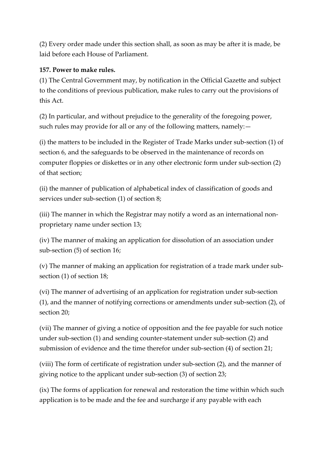(2) Every order made under this section shall, as soon as may be after it is made, be laid before each House of Parliament.

# **157. Power to make rules.**

(1) The Central Government may, by notification in the Official Gazette and subject to the conditions of previous publication, make rules to carry out the provisions of this Act.

(2) In particular, and without prejudice to the generality of the foregoing power, such rules may provide for all or any of the following matters, namely:—

(i) the matters to be included in the Register of Trade Marks under sub-section (1) of section 6, and the safeguards to be observed in the maintenance of records on computer floppies or diskettes or in any other electronic form under sub-section (2) of that section;

(ii) the manner of publication of alphabetical index of classification of goods and services under sub-section (1) of section 8;

(iii) The manner in which the Registrar may notify a word as an international nonproprietary name under section 13;

(iv) The manner of making an application for dissolution of an association under sub-section (5) of section 16;

(v) The manner of making an application for registration of a trade mark under subsection (1) of section 18;

(vi) The manner of advertising of an application for registration under sub-section (1), and the manner of notifying corrections or amendments under sub-section (2), of section 20;

(vii) The manner of giving a notice of opposition and the fee payable for such notice under sub-section (1) and sending counter-statement under sub-section (2) and submission of evidence and the time therefor under sub-section (4) of section 21;

(viii) The form of certificate of registration under sub-section (2), and the manner of giving notice to the applicant under sub-section (3) of section 23;

(ix) The forms of application for renewal and restoration the time within which such application is to be made and the fee and surcharge if any payable with each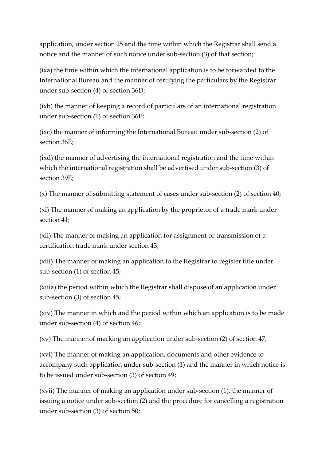application, under section 25 and the time within which the Registrar shall send a notice and the manner of such notice under sub-section (3) of that section;

(ixa) the time within which the international application is to be forwarded to the International Bureau and the manner of certifying the particulars by the Registrar under sub-section (4) of section 36D;

(ixb) the manner of keeping a record of particulars of an international registration under sub-section (1) of section 36E;

(ixc) the manner of informing the International Bureau under sub-section (2) of section 36E;

(ixd) the manner of advertising the international registration and the time within which the international registration shall be advertised under sub-section (3) of section 39E;

(x) The manner of submitting statement of cases under sub-section (2) of section 40;

(xi) The manner of making an application by the proprietor of a trade mark under section 41;

(xii) The manner of making an application for assignment or transmission of a certification trade mark under section 43;

(xiii) The manner of making an application to the Registrar to register title under sub-section (1) of section 45;

(xiiia) the period within which the Registrar shall dispose of an application under sub-section (3) of section 45;

(xiv) The manner in which and the period within which an application is to be made under sub-section (4) of section 46;

(xv) The manner of marking an application under sub-section (2) of section 47;

(xvi) The manner of making an application, documents and other evidence to accompany such application under sub-section (1) and the manner in which notice is to be issued under sub-section (3) of section 49;

(xvii) The manner of making an application under sub-section (1), the manner of issuing a notice under sub-section (2) and the procedure for cancelling a registration under sub-section (3) of section 50;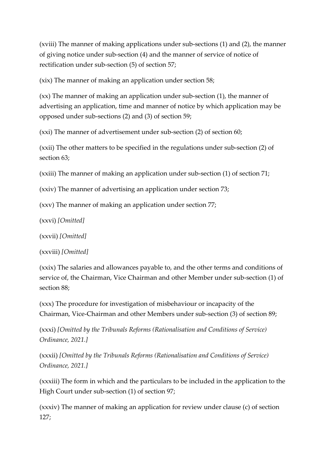(xviii) The manner of making applications under sub-sections (1) and (2), the manner of giving notice under sub-section (4) and the manner of service of notice of rectification under sub-section (5) of section 57;

(xix) The manner of making an application under section 58;

(xx) The manner of making an application under sub-section (1), the manner of advertising an application, time and manner of notice by which application may be opposed under sub-sections (2) and (3) of section 59;

(xxi) The manner of advertisement under sub-section (2) of section 60;

(xxii) The other matters to be specified in the regulations under sub-section (2) of section 63;

(xxiii) The manner of making an application under sub-section (1) of section 71;

(xxiv) The manner of advertising an application under section 73;

(xxv) The manner of making an application under section 77;

(xxvi) *[Omitted]*

(xxvii) *[Omitted]*

(xxviii) *[Omitted]*

(xxix) The salaries and allowances payable to, and the other terms and conditions of service of, the Chairman, Vice Chairman and other Member under sub-section (1) of section 88;

(xxx) The procedure for investigation of misbehaviour or incapacity of the Chairman, Vice-Chairman and other Members under sub-section (3) of section 89;

(xxxi) *[Omitted by the Tribunals Reforms (Rationalisation and Conditions of Service) Ordinance, 2021.]*

(xxxii) *[Omitted by the Tribunals Reforms (Rationalisation and Conditions of Service) Ordinance, 2021.]*

(xxxiii) The form in which and the particulars to be included in the application to the High Court under sub-section (1) of section 97;

(xxxiv) The manner of making an application for review under clause (c) of section 127;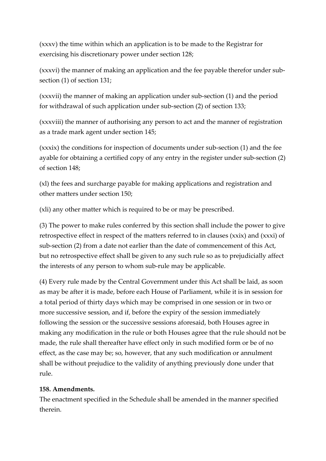(xxxv) the time within which an application is to be made to the Registrar for exercising his discretionary power under section 128;

(xxxvi) the manner of making an application and the fee payable therefor under subsection (1) of section 131;

(xxxvii) the manner of making an application under sub-section (1) and the period for withdrawal of such application under sub-section (2) of section 133;

(xxxviii) the manner of authorising any person to act and the manner of registration as a trade mark agent under section 145;

(xxxix) the conditions for inspection of documents under sub-section (1) and the fee ayable for obtaining a certified copy of any entry in the register under sub-section (2) of section 148;

(xl) the fees and surcharge payable for making applications and registration and other matters under section 150;

(xli) any other matter which is required to be or may be prescribed.

(3) The power to make rules conferred by this section shall include the power to give retrospective effect in respect of the matters referred to in clauses (xxix) and (xxxi) of sub-section (2) from a date not earlier than the date of commencement of this Act, but no retrospective effect shall be given to any such rule so as to prejudicially affect the interests of any person to whom sub-rule may be applicable.

(4) Every rule made by the Central Government under this Act shall be laid, as soon as may be after it is made, before each House of Parliament, while it is in session for a total period of thirty days which may be comprised in one session or in two or more successive session, and if, before the expiry of the session immediately following the session or the successive sessions aforesaid, both Houses agree in making any modification in the rule or both Houses agree that the rule should not be made, the rule shall thereafter have effect only in such modified form or be of no effect, as the case may be; so, however, that any such modification or annulment shall be without prejudice to the validity of anything previously done under that rule.

## **158. Amendments.**

The enactment specified in the Schedule shall be amended in the manner specified therein.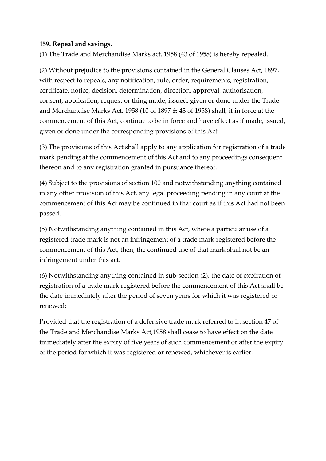#### **159. Repeal and savings.**

(1) The Trade and Merchandise Marks act, 1958 (43 of 1958) is hereby repealed.

(2) Without prejudice to the provisions contained in the General Clauses Act, 1897, with respect to repeals, any notification, rule, order, requirements, registration, certificate, notice, decision, determination, direction, approval, authorisation, consent, application, request or thing made, issued, given or done under the Trade and Merchandise Marks Act, 1958 (10 of 1897 & 43 of 1958) shall, if in force at the commencement of this Act, continue to be in force and have effect as if made, issued, given or done under the corresponding provisions of this Act.

(3) The provisions of this Act shall apply to any application for registration of a trade mark pending at the commencement of this Act and to any proceedings consequent thereon and to any registration granted in pursuance thereof.

(4) Subject to the provisions of section 100 and notwithstanding anything contained in any other provision of this Act, any legal proceeding pending in any court at the commencement of this Act may be continued in that court as if this Act had not been passed.

(5) Notwithstanding anything contained in this Act, where a particular use of a registered trade mark is not an infringement of a trade mark registered before the commencement of this Act, then, the continued use of that mark shall not be an infringement under this act.

(6) Notwithstanding anything contained in sub-section (2), the date of expiration of registration of a trade mark registered before the commencement of this Act shall be the date immediately after the period of seven years for which it was registered or renewed:

Provided that the registration of a defensive trade mark referred to in section 47 of the Trade and Merchandise Marks Act,1958 shall cease to have effect on the date immediately after the expiry of five years of such commencement or after the expiry of the period for which it was registered or renewed, whichever is earlier.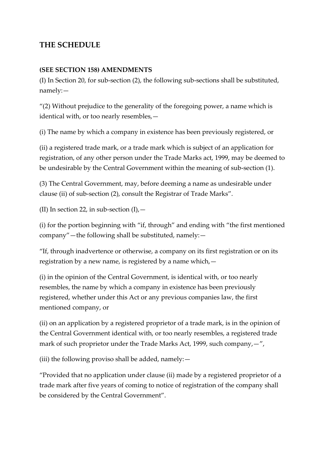# **THE SCHEDULE**

#### **(SEE SECTION 158) AMENDMENTS**

(I) In Section 20, for sub-section (2), the following sub-sections shall be substituted, namely:—

"(2) Without prejudice to the generality of the foregoing power, a name which is identical with, or too nearly resembles,—

(i) The name by which a company in existence has been previously registered, or

(ii) a registered trade mark, or a trade mark which is subject of an application for registration, of any other person under the Trade Marks act, 1999, may be deemed to be undesirable by the Central Government within the meaning of sub-section (1).

(3) The Central Government, may, before deeming a name as undesirable under clause (ii) of sub-section (2), consult the Registrar of Trade Marks".

(II) In section 22, in sub-section  $(I)$ , -

(i) for the portion beginning with "if, through" and ending with "the first mentioned company"—the following shall be substituted, namely:—

"If, through inadvertence or otherwise, a company on its first registration or on its registration by a new name, is registered by a name which,—

(i) in the opinion of the Central Government, is identical with, or too nearly resembles, the name by which a company in existence has been previously registered, whether under this Act or any previous companies law, the first mentioned company, or

(ii) on an application by a registered proprietor of a trade mark, is in the opinion of the Central Government identical with, or too nearly resembles, a registered trade mark of such proprietor under the Trade Marks Act, 1999, such company, -",

(iii) the following proviso shall be added, namely:—

"Provided that no application under clause (ii) made by a registered proprietor of a trade mark after five years of coming to notice of registration of the company shall be considered by the Central Government".